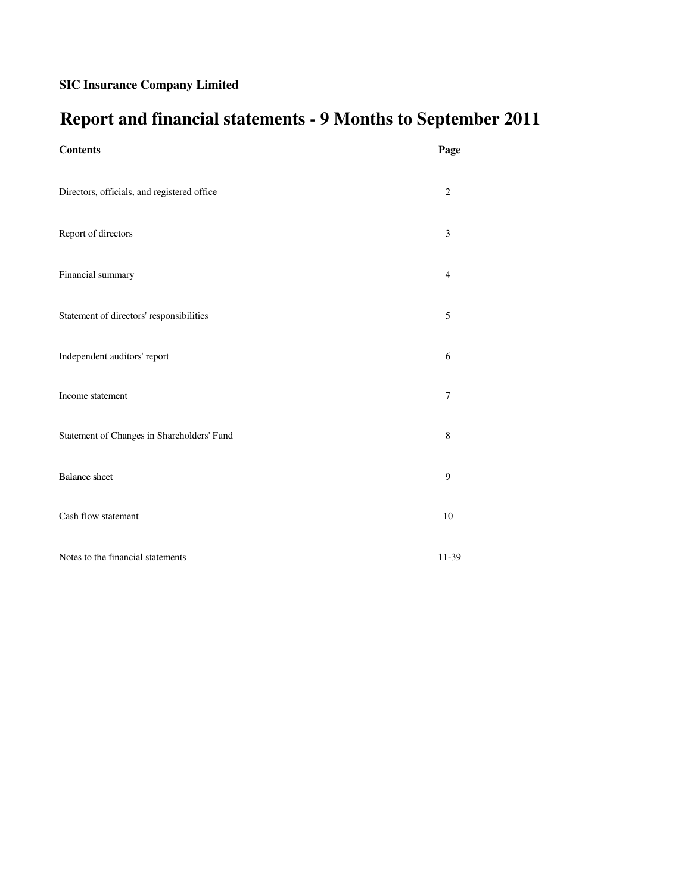# **Report and financial statements - 9 Months to September 2011**

| <b>Contents</b>                             | Page           |
|---------------------------------------------|----------------|
| Directors, officials, and registered office | $\overline{c}$ |
| Report of directors                         | $\mathfrak{Z}$ |
| Financial summary                           | $\overline{4}$ |
| Statement of directors' responsibilities    | 5              |
| Independent auditors' report                | 6              |
| Income statement                            | $\tau$         |
| Statement of Changes in Shareholders' Fund  | $\,8\,$        |
| <b>Balance</b> sheet                        | 9              |
| Cash flow statement                         | 10             |
| Notes to the financial statements           | 11-39          |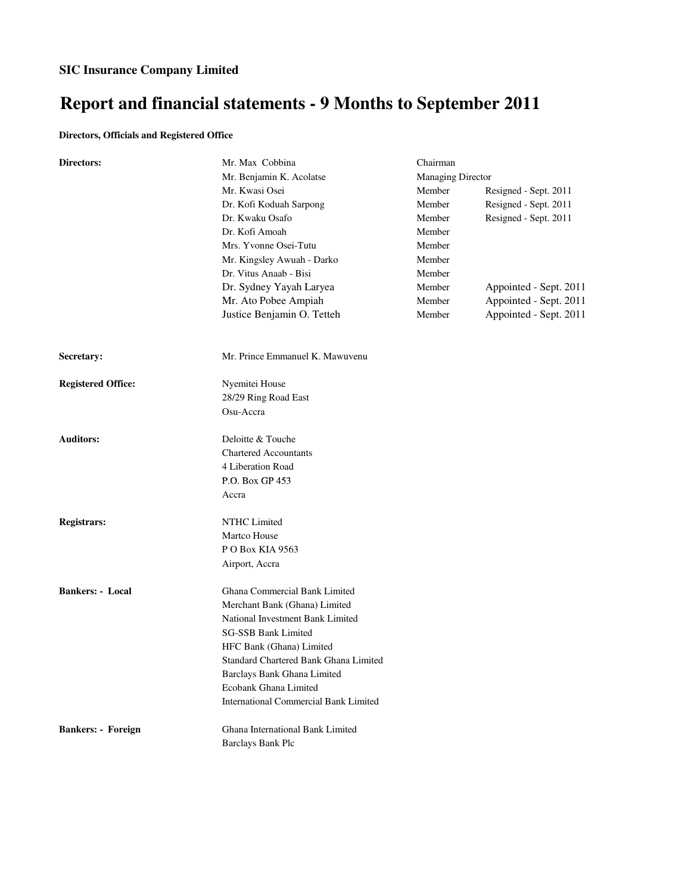# **Report and financial statements - 9 Months to September 2011**

**Directors, Officials and Registered Office**

| Directors:                | Mr. Max Cobbina                              | Chairman                 |                        |
|---------------------------|----------------------------------------------|--------------------------|------------------------|
|                           | Mr. Benjamin K. Acolatse                     | <b>Managing Director</b> |                        |
|                           | Mr. Kwasi Osei                               | Member                   | Resigned - Sept. 2011  |
|                           | Dr. Kofi Koduah Sarpong                      | Member                   | Resigned - Sept. 2011  |
|                           | Dr. Kwaku Osafo                              | Member                   | Resigned - Sept. 2011  |
|                           | Dr. Kofi Amoah                               | Member                   |                        |
|                           | Mrs. Yvonne Osei-Tutu                        | Member                   |                        |
|                           | Mr. Kingsley Awuah - Darko                   | Member                   |                        |
|                           | Dr. Vitus Anaab - Bisi                       | Member                   |                        |
|                           | Dr. Sydney Yayah Laryea                      | Member                   | Appointed - Sept. 2011 |
|                           | Mr. Ato Pobee Ampiah                         | Member                   | Appointed - Sept. 2011 |
|                           | Justice Benjamin O. Tetteh                   | Member                   | Appointed - Sept. 2011 |
| Secretary:                | Mr. Prince Emmanuel K. Mawuvenu              |                          |                        |
| <b>Registered Office:</b> | Nyemitei House                               |                          |                        |
|                           | 28/29 Ring Road East                         |                          |                        |
|                           | Osu-Accra                                    |                          |                        |
| <b>Auditors:</b>          | Deloitte & Touche                            |                          |                        |
|                           | <b>Chartered Accountants</b>                 |                          |                        |
|                           | 4 Liberation Road                            |                          |                        |
|                           | P.O. Box GP 453                              |                          |                        |
|                           | Accra                                        |                          |                        |
| <b>Registrars:</b>        | NTHC Limited                                 |                          |                        |
|                           | Martco House                                 |                          |                        |
|                           | PO Box KIA 9563                              |                          |                        |
|                           | Airport, Accra                               |                          |                        |
| <b>Bankers: - Local</b>   | Ghana Commercial Bank Limited                |                          |                        |
|                           | Merchant Bank (Ghana) Limited                |                          |                        |
|                           | National Investment Bank Limited             |                          |                        |
|                           | <b>SG-SSB Bank Limited</b>                   |                          |                        |
|                           | HFC Bank (Ghana) Limited                     |                          |                        |
|                           | Standard Chartered Bank Ghana Limited        |                          |                        |
|                           | Barclays Bank Ghana Limited                  |                          |                        |
|                           | Ecobank Ghana Limited                        |                          |                        |
|                           | <b>International Commercial Bank Limited</b> |                          |                        |
| <b>Bankers: - Foreign</b> | Ghana International Bank Limited             |                          |                        |
|                           | <b>Barclays Bank Plc</b>                     |                          |                        |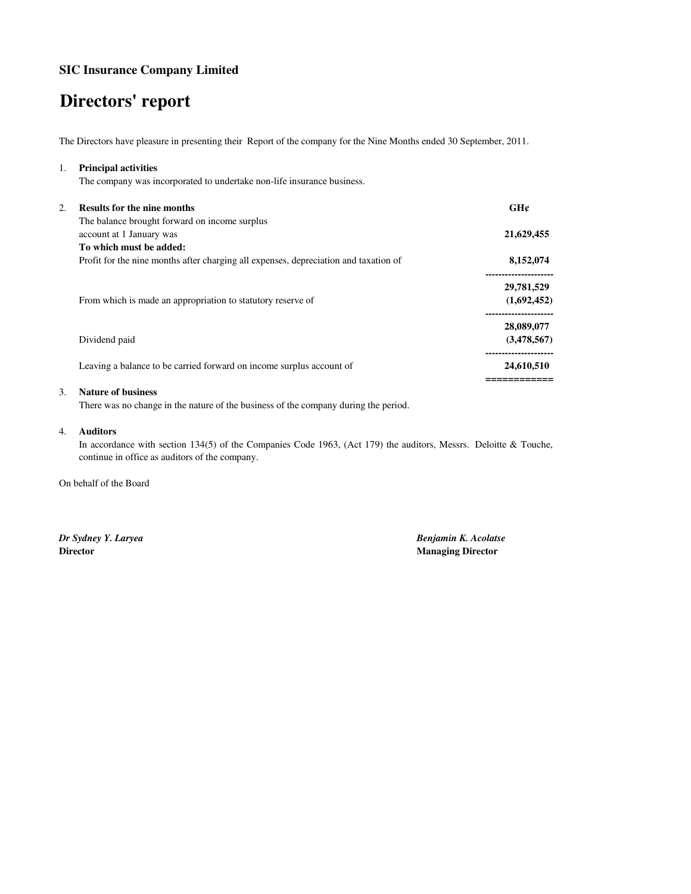# **Directors' report**

The Directors have pleasure in presenting their Report of the company for the Nine Months ended 30 September, 2011.

| 1. | <b>Principal activities</b>                                                          |                                 |
|----|--------------------------------------------------------------------------------------|---------------------------------|
|    | The company was incorporated to undertake non-life insurance business.               |                                 |
| 2. | <b>Results for the nine months</b>                                                   | GH¢                             |
|    | The balance brought forward on income surplus                                        |                                 |
|    | account at 1 January was                                                             | 21,629,455                      |
|    | To which must be added:                                                              |                                 |
|    | Profit for the nine months after charging all expenses, depreciation and taxation of | 8,152,074                       |
|    |                                                                                      | -----------------<br>29,781,529 |
|    | From which is made an appropriation to statutory reserve of                          | (1,692,452)                     |
|    |                                                                                      | 28,089,077                      |
|    | Dividend paid                                                                        | (3,478,567)                     |
|    | Leaving a balance to be carried forward on income surplus account of                 | 24,610,510                      |
|    |                                                                                      | =========                       |

### 3. **Nature of business**

There was no change in the nature of the business of the company during the period.

#### 4. **Auditors**

In accordance with section 134(5) of the Companies Code 1963, (Act 179) the auditors, Messrs. Deloitte & Touche, continue in office as auditors of the company.

On behalf of the Board

**Director Managing Director**

*Dr Sydney Y. Laryea Benjamin K. Acolatse*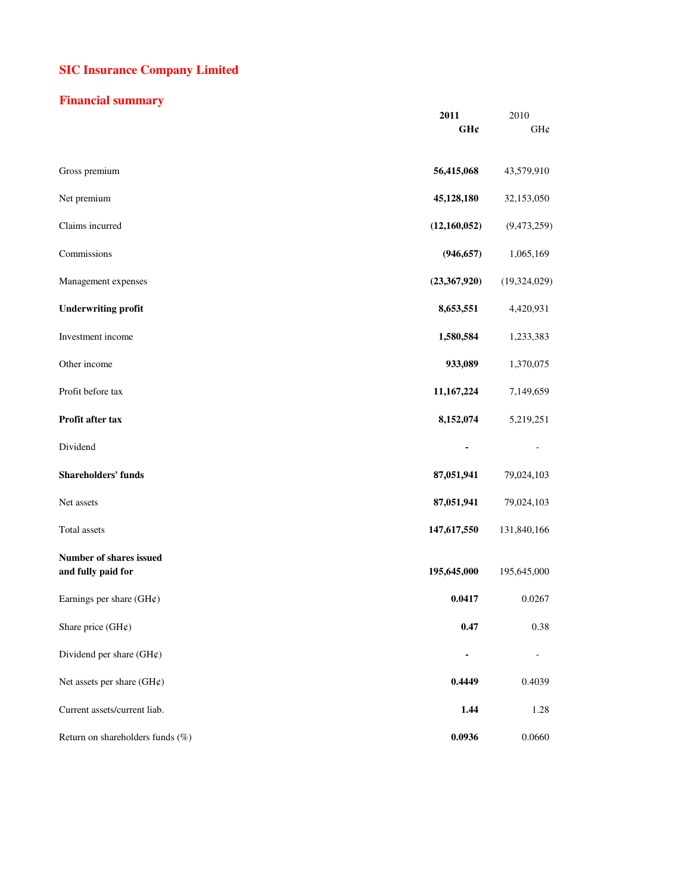## **Financial summary**

|                                               | 2011<br>GH¢    | 2010<br>GH¢  |
|-----------------------------------------------|----------------|--------------|
| Gross premium                                 | 56,415,068     | 43,579,910   |
| Net premium                                   | 45,128,180     | 32,153,050   |
| Claims incurred                               | (12,160,052)   | (9,473,259)  |
| Commissions                                   | (946, 657)     | 1,065,169    |
| Management expenses                           | (23, 367, 920) | (19,324,029) |
| <b>Underwriting profit</b>                    | 8,653,551      | 4,420,931    |
| Investment income                             | 1,580,584      | 1,233,383    |
| Other income                                  | 933,089        | 1,370,075    |
| Profit before tax                             | 11,167,224     | 7,149,659    |
| Profit after tax                              | 8,152,074      | 5,219,251    |
| Dividend                                      |                |              |
| <b>Shareholders' funds</b>                    | 87,051,941     | 79,024,103   |
| Net assets                                    | 87,051,941     | 79,024,103   |
| Total assets                                  | 147,617,550    | 131,840,166  |
| Number of shares issued<br>and fully paid for | 195,645,000    | 195,645,000  |
| Earnings per share $(GH\varphi)$              | 0.0417         | 0.0267       |
| Share price (GH¢)                             | 0.47           | 0.38         |
| Dividend per share (GH¢)                      |                |              |
| Net assets per share (GH¢)                    | 0.4449         | 0.4039       |
| Current assets/current liab.                  | 1.44           | 1.28         |
| Return on shareholders funds (%)              | 0.0936         | 0.0660       |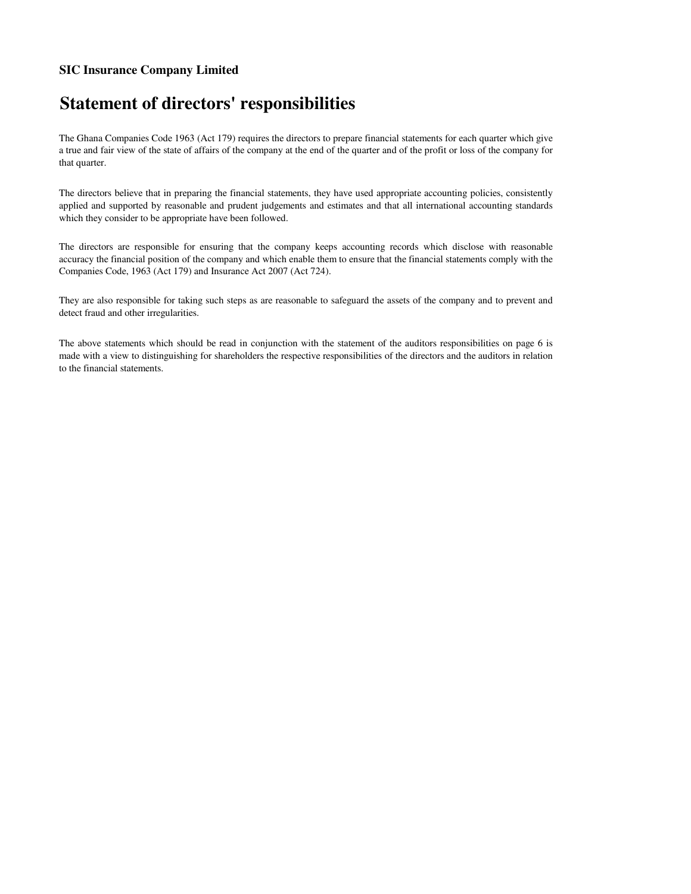# **Statement of directors' responsibilities**

The Ghana Companies Code 1963 (Act 179) requires the directors to prepare financial statements for each quarter which give a true and fair view of the state of affairs of the company at the end of the quarter and of the profit or loss of the company for that quarter.

The directors believe that in preparing the financial statements, they have used appropriate accounting policies, consistently applied and supported by reasonable and prudent judgements and estimates and that all international accounting standards which they consider to be appropriate have been followed.

The directors are responsible for ensuring that the company keeps accounting records which disclose with reasonable accuracy the financial position of the company and which enable them to ensure that the financial statements comply with the Companies Code, 1963 (Act 179) and Insurance Act 2007 (Act 724).

They are also responsible for taking such steps as are reasonable to safeguard the assets of the company and to prevent and detect fraud and other irregularities.

The above statements which should be read in conjunction with the statement of the auditors responsibilities on page 6 is made with a view to distinguishing for shareholders the respective responsibilities of the directors and the auditors in relation to the financial statements.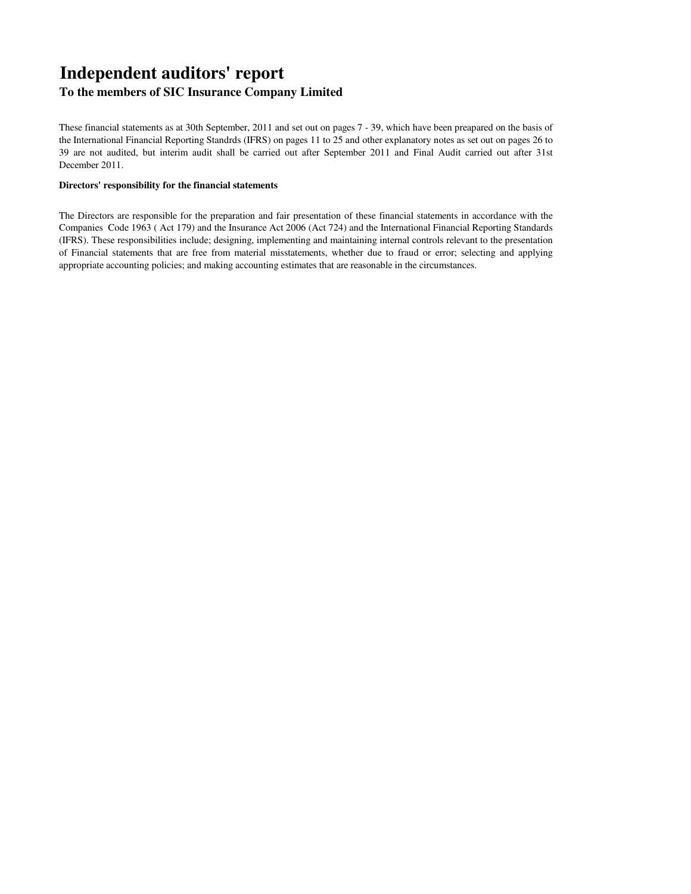# **Independent auditors' report**

## **To the members of SIC Insurance Company Limited**

These financial statements as at 30th September, 2011 and set out on pages 7 - 39, which have been preapared on the basis of the International Financial Reporting Standrds (IFRS) on pages 11 to 25 and other explanatory notes as set out on pages 26 to 39 are not audited, but interim audit shall be carried out after September 2011 and Final Audit carried out after 31st December 2011.

### **Directors' responsibility for the financial statements**

The Directors are responsible for the preparation and fair presentation of these financial statements in accordance with the Companies Code 1963 ( Act 179) and the Insurance Act 2006 (Act 724) and the International Financial Reporting Standards (IFRS). These responsibilities include; designing, implementing and maintaining internal controls relevant to the presentation of Financial statements that are free from material misstatements, whether due to fraud or error; selecting and applying appropriate accounting policies; and making accounting estimates that are reasonable in the circumstances.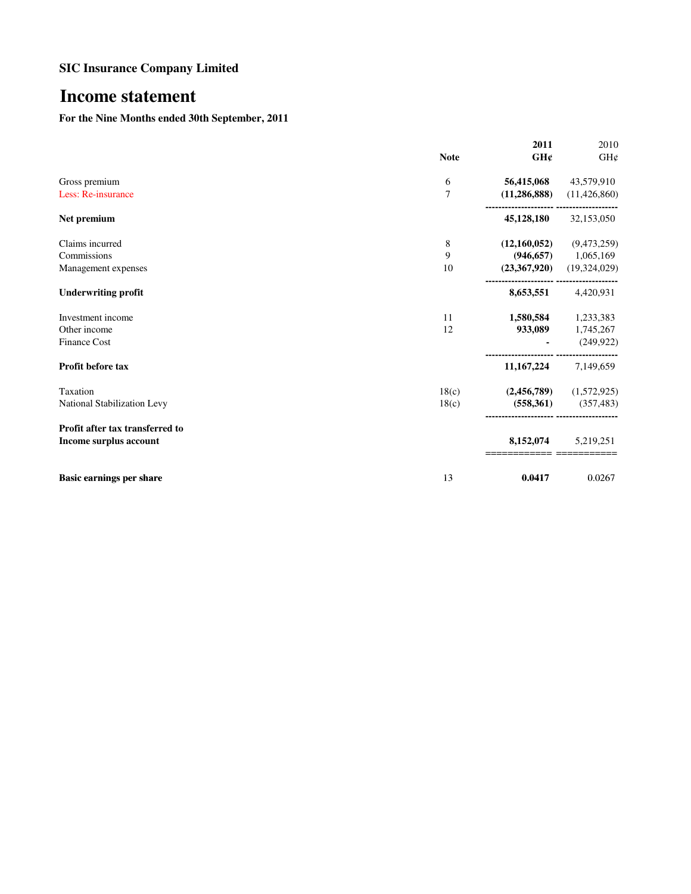# **Income statement**

## **For the Nine Months ended 30th September, 2011**

|                                 | <b>Note</b>    | 2011<br>GH¢                         | 2010<br>GH¢    |
|---------------------------------|----------------|-------------------------------------|----------------|
| Gross premium                   | 6              | 56,415,068                          | 43,579,910     |
| Less: Re-insurance              | $\overline{7}$ | (11, 286, 888)                      | (11, 426, 860) |
| Net premium                     |                | 45,128,180                          | 32,153,050     |
| Claims incurred                 | 8              | (12,160,052)                        | (9,473,259)    |
| Commissions                     | 9              | (946, 657)                          | 1,065,169      |
| Management expenses             | 10             | (23,367,920)                        | (19, 324, 029) |
| <b>Underwriting profit</b>      |                | 8,653,551                           | 4,420,931      |
| Investment income               | 11             | 1,580,584                           | 1,233,383      |
| Other income                    | 12             | 933,089                             | 1,745,267      |
| <b>Finance Cost</b>             |                |                                     | (249, 922)     |
| Profit before tax               |                | 11,167,224                          | 7,149,659      |
| Taxation                        | 18(c)          | (2,456,789)                         | (1,572,925)    |
| National Stabilization Levy     | 18(c)          | (558, 361)                          | (357, 483)     |
| Profit after tax transferred to |                |                                     |                |
| Income surplus account          |                | 8,152,074<br>:========== ========== | 5,219,251      |
| <b>Basic earnings per share</b> | 13             | 0.0417                              | 0.0267         |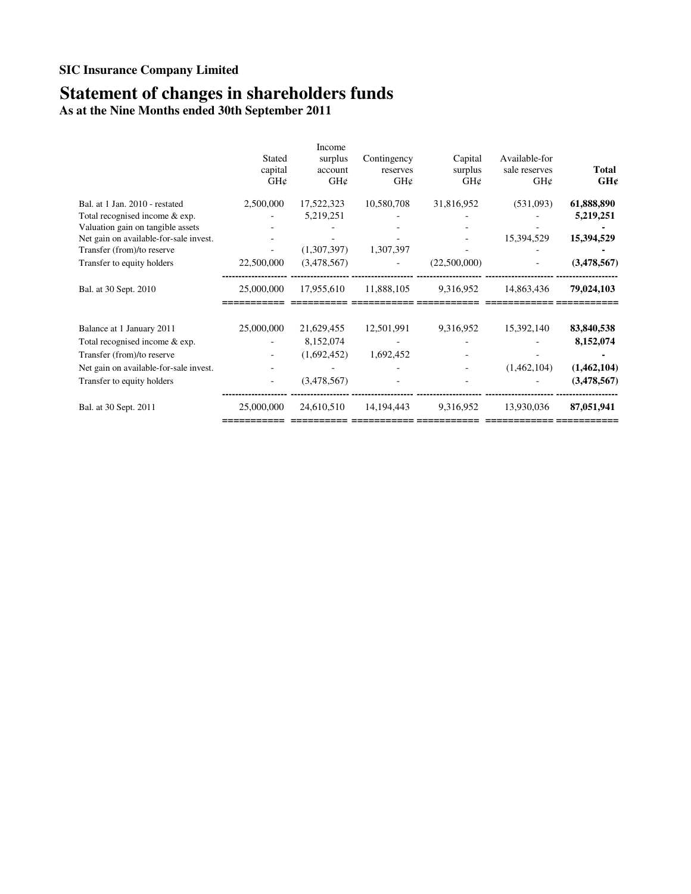## **Statement of changes in shareholders funds**

**As at the Nine Months ended 30th September 2011**

|                                                                                                       | Stated<br>capital<br>$GH\mathcal{C}$ | Income<br>surplus<br>account<br>GH¢ | Contingency<br>reserves<br>GH¢ | Capital<br>surplus<br>$GH\mathcal{C}$ | Available-for<br>sale reserves<br>$GH\mathcal{C}$ | <b>Total</b><br>GH¢        |
|-------------------------------------------------------------------------------------------------------|--------------------------------------|-------------------------------------|--------------------------------|---------------------------------------|---------------------------------------------------|----------------------------|
| Bal. at 1 Jan. 2010 - restated<br>Total recognised income & exp.<br>Valuation gain on tangible assets | 2,500,000                            | 17,522,323<br>5,219,251             | 10,580,708                     | 31,816,952                            | (531,093)                                         | 61,888,890<br>5,219,251    |
| Net gain on available-for-sale invest.<br>Transfer (from)/to reserve                                  |                                      | (1,307,397)                         | 1,307,397                      |                                       | 15,394,529                                        | 15,394,529                 |
| Transfer to equity holders                                                                            | 22,500,000                           | (3,478,567)                         |                                | (22,500,000)                          |                                                   | (3,478,567)                |
| Bal. at 30 Sept. 2010                                                                                 | 25,000,000                           | 17,955,610                          | 11,888,105                     | 9,316,952                             | 14,863,436                                        | 79,024,103                 |
| Balance at 1 January 2011                                                                             | 25,000,000                           | 21,629,455                          | 12,501,991                     | 9,316,952                             | 15,392,140                                        | 83,840,538                 |
| Total recognised income & exp.                                                                        |                                      | 8,152,074                           | 1,692,452                      |                                       |                                                   | 8,152,074                  |
| Transfer (from)/to reserve<br>Net gain on available-for-sale invest.<br>Transfer to equity holders    |                                      | (1,692,452)<br>(3,478,567)          |                                |                                       | (1,462,104)                                       | (1,462,104)<br>(3,478,567) |
| Bal. at 30 Sept. 2011                                                                                 | 25,000,000                           | 24,610,510                          | 14, 194, 443                   | 9,316,952                             | 13,930,036                                        | 87,051,941                 |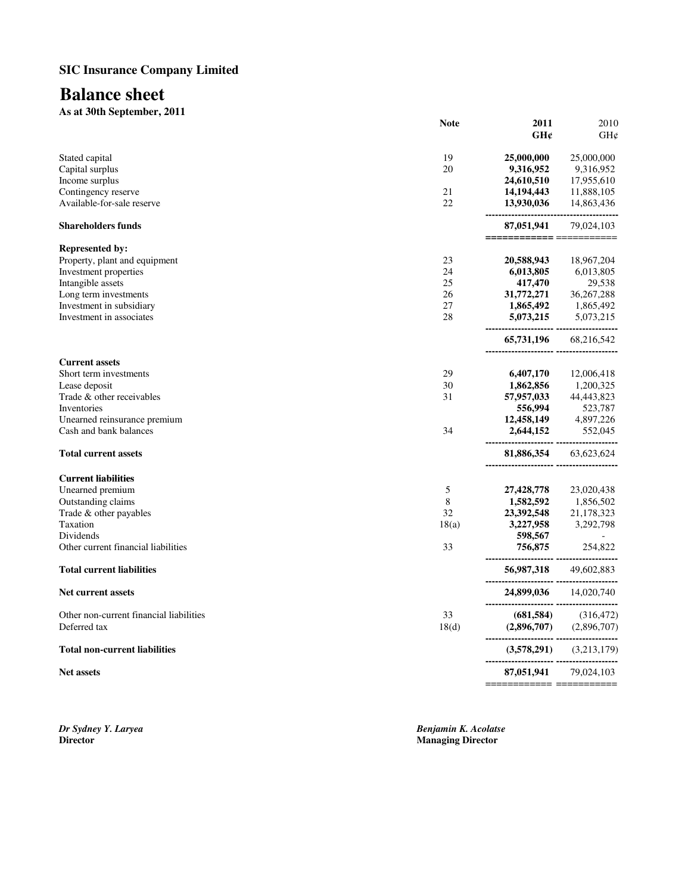## **Balance sheet**

**As at 30th September, 2011**

|                                         | <b>Note</b>     | 2011<br>GH¢                                         | 2010<br>GH¢     |
|-----------------------------------------|-----------------|-----------------------------------------------------|-----------------|
| Stated capital                          | 19              | 25,000,000                                          | 25,000,000      |
| Capital surplus                         | 20              | 9,316,952                                           | 9,316,952       |
| Income surplus                          |                 | 24,610,510                                          | 17,955,610      |
| Contingency reserve                     | 21              | 14,194,443                                          | 11,888,105      |
| Available-for-sale reserve              | 22              | 13,930,036<br>                                      | 14,863,436<br>. |
| <b>Shareholders funds</b>               |                 | 87,051,941<br>========== ===========                | 79,024,103      |
| <b>Represented by:</b>                  |                 |                                                     |                 |
| Property, plant and equipment           | 23              | 20,588,943                                          | 18,967,204      |
| Investment properties                   | 24              | 6,013,805                                           | 6,013,805       |
| Intangible assets                       | 25              | 417,470                                             | 29,538          |
| Long term investments                   | 26              | 31,772,271                                          | 36,267,288      |
| Investment in subsidiary                | 27              | 1,865,492                                           | 1,865,492       |
| Investment in associates                | 28              | 5,073,215                                           | 5,073,215       |
|                                         |                 | 65,731,196                                          | 68,216,542      |
| <b>Current assets</b>                   |                 |                                                     |                 |
| Short term investments                  | 29              | 6,407,170                                           | 12,006,418      |
| Lease deposit                           | 30              | 1,862,856                                           | 1,200,325       |
| Trade & other receivables               | 31              | 57,957,033                                          | 44,443,823      |
| Inventories                             |                 | 556,994                                             | 523,787         |
| Unearned reinsurance premium            |                 | 12,458,149                                          | 4,897,226       |
| Cash and bank balances                  | 34              | 2,644,152<br>----------------- -------------------- | 552,045         |
| <b>Total current assets</b>             |                 | 81,886,354<br>                                      | 63,623,624      |
| <b>Current liabilities</b>              |                 |                                                     |                 |
| Unearned premium                        | 5               | 27,428,778                                          | 23,020,438      |
| <b>Outstanding claims</b>               | 8               | 1,582,592                                           | 1,856,502       |
| Trade & other payables                  | 32              | 23,392,548                                          | 21,178,323      |
| Taxation                                | 18(a)           | 3,227,958                                           | 3,292,798       |
| Dividends                               |                 | 598,567                                             |                 |
| Other current financial liabilities     | 33              | 756,875                                             | 254,822         |
| <b>Total current liabilities</b>        |                 | 56,987,318                                          | 49,602,883      |
| Net current assets                      |                 | 24,899,036                                          | 14,020,740      |
| Other non-current financial liabilities | 33              | (681,584)                                           | (316, 472)      |
| Deferred tax                            | 18 <sub>d</sub> | (2,896,707)                                         | (2,896,707)     |
| <b>Total non-current liabilities</b>    |                 | (3,578,291)                                         | (3,213,179)     |
| <b>Net assets</b>                       |                 | 87,051,941                                          | 79,024,103      |
|                                         |                 | ============= ============                          |                 |

*Dr Sydney Y. Laryea Benjamin K. Acolatse* **Director Managing Director**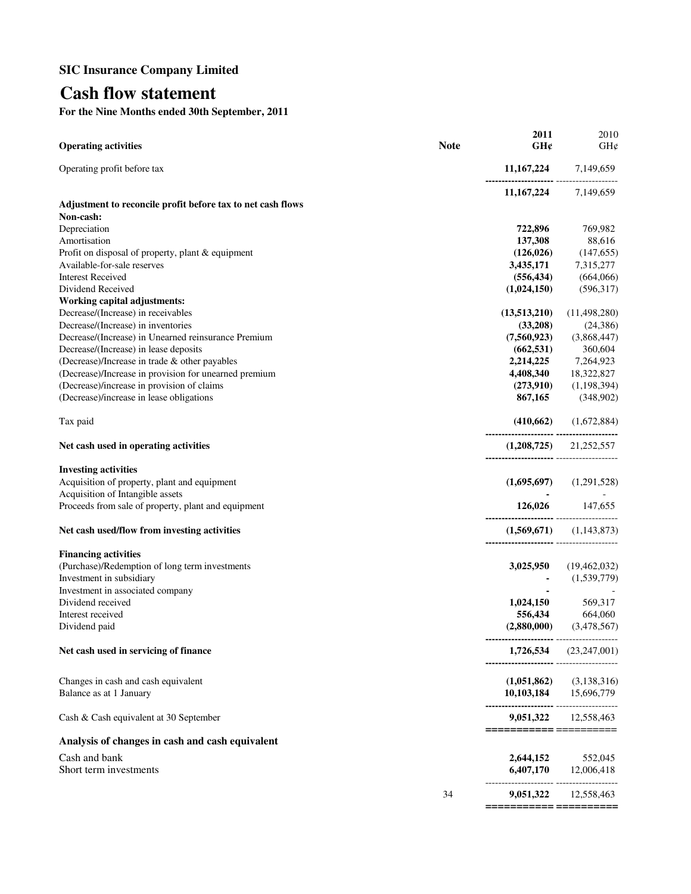## **Cash flow statement**

**For the Nine Months ended 30th September, 2011**

| <b>Operating activities</b>                                 | <b>Note</b> | 2011<br>GH¢                    | 2010<br>GH¢                 |
|-------------------------------------------------------------|-------------|--------------------------------|-----------------------------|
| Operating profit before tax                                 |             |                                | 11,167,224 7,149,659        |
|                                                             |             | 11,167,224                     | 7,149,659                   |
| Adjustment to reconcile profit before tax to net cash flows |             |                                |                             |
| Non-cash:                                                   |             |                                |                             |
| Depreciation                                                |             | 722,896                        | 769,982                     |
| Amortisation                                                |             | 137,308                        | 88,616                      |
| Profit on disposal of property, plant & equipment           |             | (126, 026)                     | (147, 655)                  |
| Available-for-sale reserves                                 |             | 3,435,171                      | 7,315,277                   |
| <b>Interest Received</b>                                    |             | (556, 434)                     | (664, 066)                  |
| Dividend Received                                           |             | (1,024,150)                    | (596,317)                   |
| <b>Working capital adjustments:</b>                         |             |                                |                             |
| Decrease/(Increase) in receivables                          |             | (13,513,210)                   | (11, 498, 280)              |
| Decrease/(Increase) in inventories                          |             | (33,208)                       | (24, 386)                   |
| Decrease/(Increase) in Unearned reinsurance Premium         |             | (7,560,923)                    | (3,868,447)                 |
| Decrease/(Increase) in lease deposits                       |             | (662, 531)                     | 360,604                     |
| (Decrease)/Increase in trade & other payables               |             | 2,214,225                      | 7,264,923                   |
| (Decrease)/Increase in provision for unearned premium       |             | 4,408,340                      | 18,322,827                  |
| (Decrease)/increase in provision of claims                  |             | (273,910)                      | (1,198,394)                 |
| (Decrease)/increase in lease obligations                    |             | 867,165                        | (348,902)                   |
| Tax paid                                                    |             |                                | $(410,662)$ $(1,672,884)$   |
| Net cash used in operating activities                       |             |                                | $(1,208,725)$ $21,252,557$  |
| <b>Investing activities</b>                                 |             |                                |                             |
| Acquisition of property, plant and equipment                |             |                                | $(1,695,697)$ $(1,291,528)$ |
| Acquisition of Intangible assets                            |             |                                |                             |
| Proceeds from sale of property, plant and equipment         |             |                                | 126,026 147,655             |
| Net cash used/flow from investing activities                |             |                                | $(1,569,671)$ $(1,143,873)$ |
| <b>Financing activities</b>                                 |             |                                |                             |
| (Purchase)/Redemption of long term investments              |             |                                | 3,025,950 $(19,462,032)$    |
| Investment in subsidiary                                    |             |                                | (1,539,779)                 |
| Investment in associated company                            |             |                                |                             |
| Dividend received                                           |             |                                | $1,024,150$ 569,317         |
| Interest received                                           |             | 556,434                        | 664,060                     |
| Dividend paid                                               |             | (2,880,000)                    | (3,478,567)                 |
| Net cash used in servicing of finance                       |             | --------------------- -------- | $1,726,534$ $(23,247,001)$  |
| Changes in cash and cash equivalent                         |             | (1,051,862)                    | (3,138,316)                 |
| Balance as at 1 January                                     |             |                                |                             |
|                                                             |             |                                | $10,103,184$ 15,696,779     |
| Cash & Cash equivalent at 30 September                      |             | =========== ==========         | 9,051,322 12,558,463        |
| Analysis of changes in cash and cash equivalent             |             |                                |                             |
| Cash and bank                                               |             | 2,644,152                      | 552,045                     |
| Short term investments                                      |             |                                | 6,407,170 12,006,418        |
|                                                             | 34          |                                | 9,051,322 12,558,463        |
|                                                             |             | =========== ==========         |                             |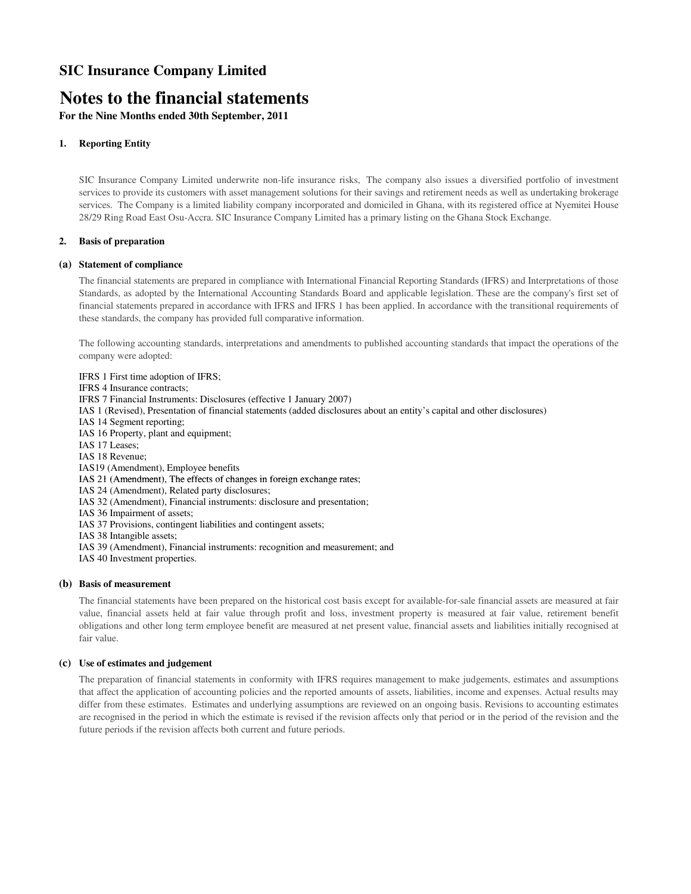## **Notes to the financial statements**

**For the Nine Months ended 30th September, 2011**

### **1. Reporting Entity**

SIC Insurance Company Limited underwrite non-life insurance risks, The company also issues a diversified portfolio of investment services to provide its customers with asset management solutions for their savings and retirement needs as well as undertaking brokerage services. The Company is a limited liability company incorporated and domiciled in Ghana, with its registered office at Nyemitei House 28/29 Ring Road East Osu-Accra. SIC Insurance Company Limited has a primary listing on the Ghana Stock Exchange.

#### **2. Basis of preparation**

#### **(a) Statement of compliance**

The financial statements are prepared in compliance with International Financial Reporting Standards (IFRS) and Interpretations of those Standards, as adopted by the International Accounting Standards Board and applicable legislation. These are the company's first set of financial statements prepared in accordance with IFRS and IFRS 1 has been applied. In accordance with the transitional requirements of these standards, the company has provided full comparative information.

The following accounting standards, interpretations and amendments to published accounting standards that impact the operations of the company were adopted:

IFRS 1 First time adoption of IFRS; IFRS 4 Insurance contracts; IFRS 7 Financial Instruments: Disclosures (effective 1 January 2007) IAS 1 (Revised), Presentation of financial statements (added disclosures about an entity's capital and other disclosures) IAS 14 Segment reporting; IAS 16 Property, plant and equipment; IAS 17 Leases; IAS 18 Revenue; IAS19 (Amendment), Employee benefits IAS 21 (Amendment), The effects of changes in foreign exchange rates; IAS 24 (Amendment), Related party disclosures; IAS 32 (Amendment), Financial instruments: disclosure and presentation; IAS 36 Impairment of assets; IAS 37 Provisions, contingent liabilities and contingent assets;

IAS 38 Intangible assets;

IAS 39 (Amendment), Financial instruments: recognition and measurement; and

IAS 40 Investment properties.

#### **(b) Basis of measurement**

The financial statements have been prepared on the historical cost basis except for available-for-sale financial assets are measured at fair value, financial assets held at fair value through profit and loss, investment property is measured at fair value, retirement benefit obligations and other long term employee benefit are measured at net present value, financial assets and liabilities initially recognised at fair value.

#### **(c) Use of estimates and judgement**

The preparation of financial statements in conformity with IFRS requires management to make judgements, estimates and assumptions that affect the application of accounting policies and the reported amounts of assets, liabilities, income and expenses. Actual results may differ from these estimates. Estimates and underlying assumptions are reviewed on an ongoing basis. Revisions to accounting estimates are recognised in the period in which the estimate is revised if the revision affects only that period or in the period of the revision and the future periods if the revision affects both current and future periods.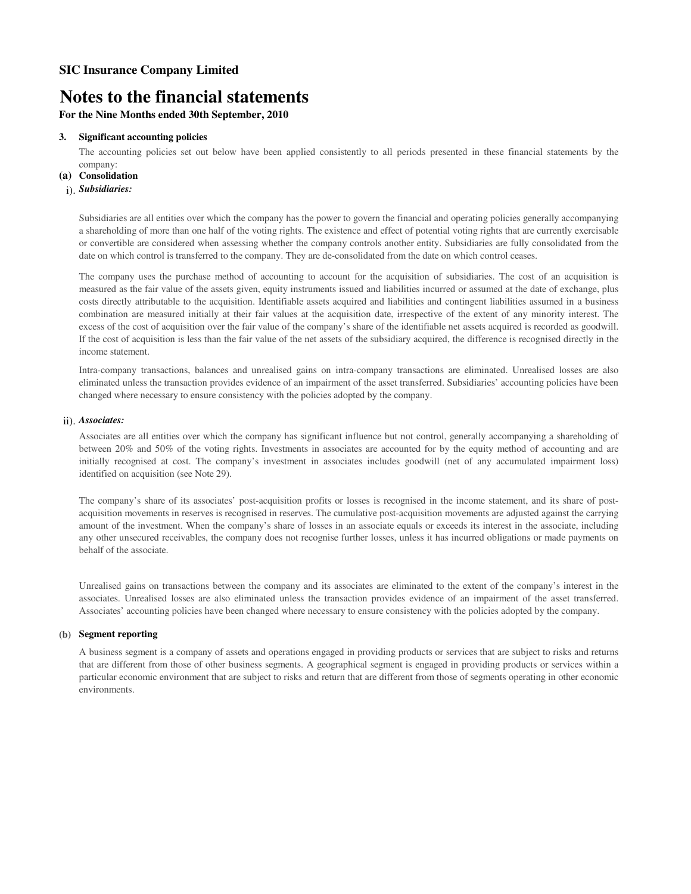## **Notes to the financial statements**

**For the Nine Months ended 30th September, 2010**

#### **3. Significant accounting policies**

The accounting policies set out below have been applied consistently to all periods presented in these financial statements by the company:

#### **(a) Consolidation**

### i). *Subsidiaries:*

Subsidiaries are all entities over which the company has the power to govern the financial and operating policies generally accompanying a shareholding of more than one half of the voting rights. The existence and effect of potential voting rights that are currently exercisable or convertible are considered when assessing whether the company controls another entity. Subsidiaries are fully consolidated from the date on which control is transferred to the company. They are de-consolidated from the date on which control ceases.

The company uses the purchase method of accounting to account for the acquisition of subsidiaries. The cost of an acquisition is measured as the fair value of the assets given, equity instruments issued and liabilities incurred or assumed at the date of exchange, plus costs directly attributable to the acquisition. Identifiable assets acquired and liabilities and contingent liabilities assumed in a business combination are measured initially at their fair values at the acquisition date, irrespective of the extent of any minority interest. The excess of the cost of acquisition over the fair value of the company's share of the identifiable net assets acquired is recorded as goodwill. If the cost of acquisition is less than the fair value of the net assets of the subsidiary acquired, the difference is recognised directly in the income statement.

Intra-company transactions, balances and unrealised gains on intra-company transactions are eliminated. Unrealised losses are also eliminated unless the transaction provides evidence of an impairment of the asset transferred. Subsidiaries' accounting policies have been changed where necessary to ensure consistency with the policies adopted by the company.

### ii). *Associates:*

Associates are all entities over which the company has significant influence but not control, generally accompanying a shareholding of between 20% and 50% of the voting rights. Investments in associates are accounted for by the equity method of accounting and are initially recognised at cost. The company's investment in associates includes goodwill (net of any accumulated impairment loss) identified on acquisition (see Note 29).

The company's share of its associates' post-acquisition profits or losses is recognised in the income statement, and its share of postacquisition movements in reserves is recognised in reserves. The cumulative post-acquisition movements are adjusted against the carrying amount of the investment. When the company's share of losses in an associate equals or exceeds its interest in the associate, including any other unsecured receivables, the company does not recognise further losses, unless it has incurred obligations or made payments on behalf of the associate.

Unrealised gains on transactions between the company and its associates are eliminated to the extent of the company's interest in the associates. Unrealised losses are also eliminated unless the transaction provides evidence of an impairment of the asset transferred. Associates' accounting policies have been changed where necessary to ensure consistency with the policies adopted by the company.

#### **(b) Segment reporting**

A business segment is a company of assets and operations engaged in providing products or services that are subject to risks and returns that are different from those of other business segments. A geographical segment is engaged in providing products or services within a particular economic environment that are subject to risks and return that are different from those of segments operating in other economic environments.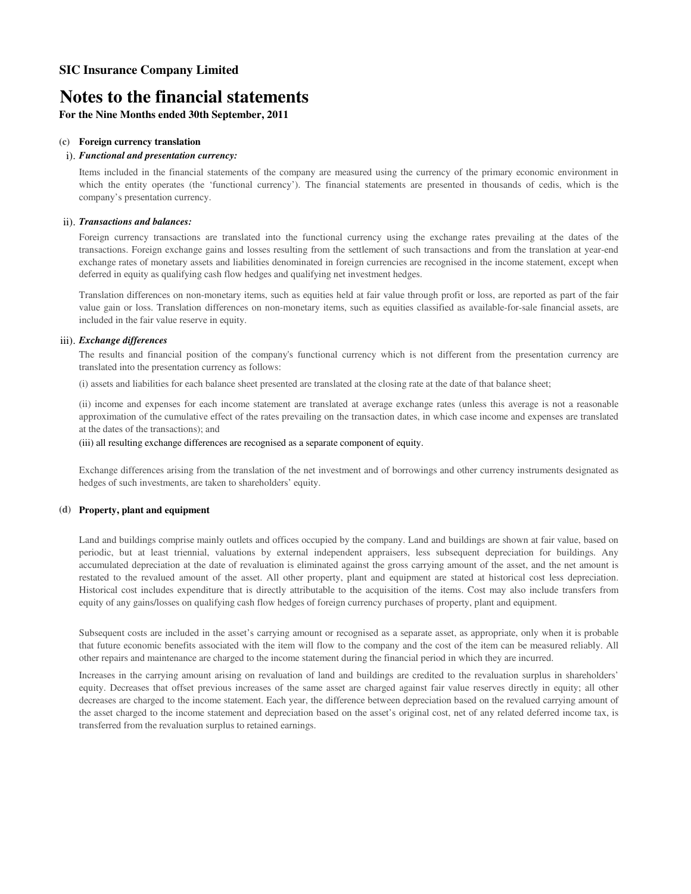**For the Nine Months ended 30th September, 2011**

#### **(c) Foreign currency translation**

#### i). *Functional and presentation currency:*

Items included in the financial statements of the company are measured using the currency of the primary economic environment in which the entity operates (the 'functional currency'). The financial statements are presented in thousands of cedis, which is the company's presentation currency.

### ii). *Transactions and balances:*

Foreign currency transactions are translated into the functional currency using the exchange rates prevailing at the dates of the transactions. Foreign exchange gains and losses resulting from the settlement of such transactions and from the translation at year-end exchange rates of monetary assets and liabilities denominated in foreign currencies are recognised in the income statement, except when deferred in equity as qualifying cash flow hedges and qualifying net investment hedges.

Translation differences on non-monetary items, such as equities held at fair value through profit or loss, are reported as part of the fair value gain or loss. Translation differences on non-monetary items, such as equities classified as available-for-sale financial assets, are included in the fair value reserve in equity.

#### iii). *Exchange differences*

The results and financial position of the company's functional currency which is not different from the presentation currency are translated into the presentation currency as follows:

(i) assets and liabilities for each balance sheet presented are translated at the closing rate at the date of that balance sheet;

(ii) income and expenses for each income statement are translated at average exchange rates (unless this average is not a reasonable approximation of the cumulative effect of the rates prevailing on the transaction dates, in which case income and expenses are translated at the dates of the transactions); and

#### (iii) all resulting exchange differences are recognised as a separate component of equity.

Exchange differences arising from the translation of the net investment and of borrowings and other currency instruments designated as hedges of such investments, are taken to shareholders' equity.

#### **(d) Property, plant and equipment**

Land and buildings comprise mainly outlets and offices occupied by the company. Land and buildings are shown at fair value, based on periodic, but at least triennial, valuations by external independent appraisers, less subsequent depreciation for buildings. Any accumulated depreciation at the date of revaluation is eliminated against the gross carrying amount of the asset, and the net amount is restated to the revalued amount of the asset. All other property, plant and equipment are stated at historical cost less depreciation. Historical cost includes expenditure that is directly attributable to the acquisition of the items. Cost may also include transfers from equity of any gains/losses on qualifying cash flow hedges of foreign currency purchases of property, plant and equipment.

Subsequent costs are included in the asset's carrying amount or recognised as a separate asset, as appropriate, only when it is probable that future economic benefits associated with the item will flow to the company and the cost of the item can be measured reliably. All other repairs and maintenance are charged to the income statement during the financial period in which they are incurred.

Increases in the carrying amount arising on revaluation of land and buildings are credited to the revaluation surplus in shareholders' equity. Decreases that offset previous increases of the same asset are charged against fair value reserves directly in equity; all other decreases are charged to the income statement. Each year, the difference between depreciation based on the revalued carrying amount of the asset charged to the income statement and depreciation based on the asset's original cost, net of any related deferred income tax, is transferred from the revaluation surplus to retained earnings.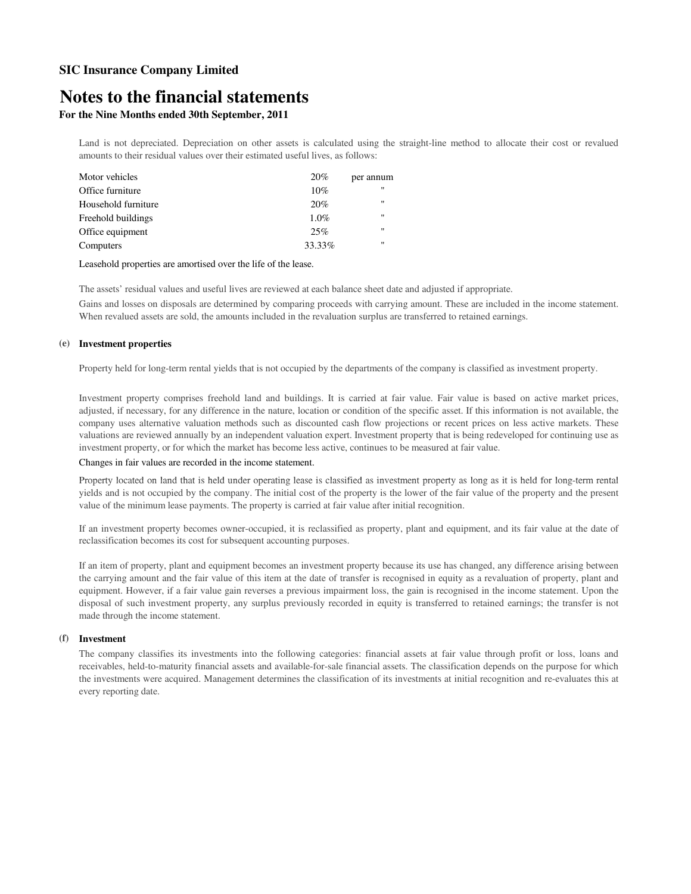## **Notes to the financial statements**

### **For the Nine Months ended 30th September, 2011**

Land is not depreciated. Depreciation on other assets is calculated using the straight-line method to allocate their cost or revalued amounts to their residual values over their estimated useful lives, as follows:

| 20%    | per annum         |
|--------|-------------------|
| 10%    | $^{\prime\prime}$ |
| 20%    | $^{\prime\prime}$ |
| 1.0%   | $^{\prime\prime}$ |
| 25%    | $^{\prime\prime}$ |
| 33.33% | $^{\prime\prime}$ |
|        |                   |

#### Leasehold properties are amortised over the life of the lease.

The assets' residual values and useful lives are reviewed at each balance sheet date and adjusted if appropriate. Gains and losses on disposals are determined by comparing proceeds with carrying amount. These are included in the income statement. When revalued assets are sold, the amounts included in the revaluation surplus are transferred to retained earnings.

#### **(e) Investment properties**

Property held for long-term rental yields that is not occupied by the departments of the company is classified as investment property.

Investment property comprises freehold land and buildings. It is carried at fair value. Fair value is based on active market prices, adjusted, if necessary, for any difference in the nature, location or condition of the specific asset. If this information is not available, the company uses alternative valuation methods such as discounted cash flow projections or recent prices on less active markets. These valuations are reviewed annually by an independent valuation expert. Investment property that is being redeveloped for continuing use as investment property, or for which the market has become less active, continues to be measured at fair value.

#### Changes in fair values are recorded in the income statement.

Property located on land that is held under operating lease is classified as investment property as long as it is held for long-term rental yields and is not occupied by the company. The initial cost of the property is the lower of the fair value of the property and the present value of the minimum lease payments. The property is carried at fair value after initial recognition.

If an investment property becomes owner-occupied, it is reclassified as property, plant and equipment, and its fair value at the date of reclassification becomes its cost for subsequent accounting purposes.

If an item of property, plant and equipment becomes an investment property because its use has changed, any difference arising between the carrying amount and the fair value of this item at the date of transfer is recognised in equity as a revaluation of property, plant and equipment. However, if a fair value gain reverses a previous impairment loss, the gain is recognised in the income statement. Upon the disposal of such investment property, any surplus previously recorded in equity is transferred to retained earnings; the transfer is not made through the income statement.

#### **(f) Investment**

The company classifies its investments into the following categories: financial assets at fair value through profit or loss, loans and receivables, held-to-maturity financial assets and available-for-sale financial assets. The classification depends on the purpose for which the investments were acquired. Management determines the classification of its investments at initial recognition and re-evaluates this at every reporting date.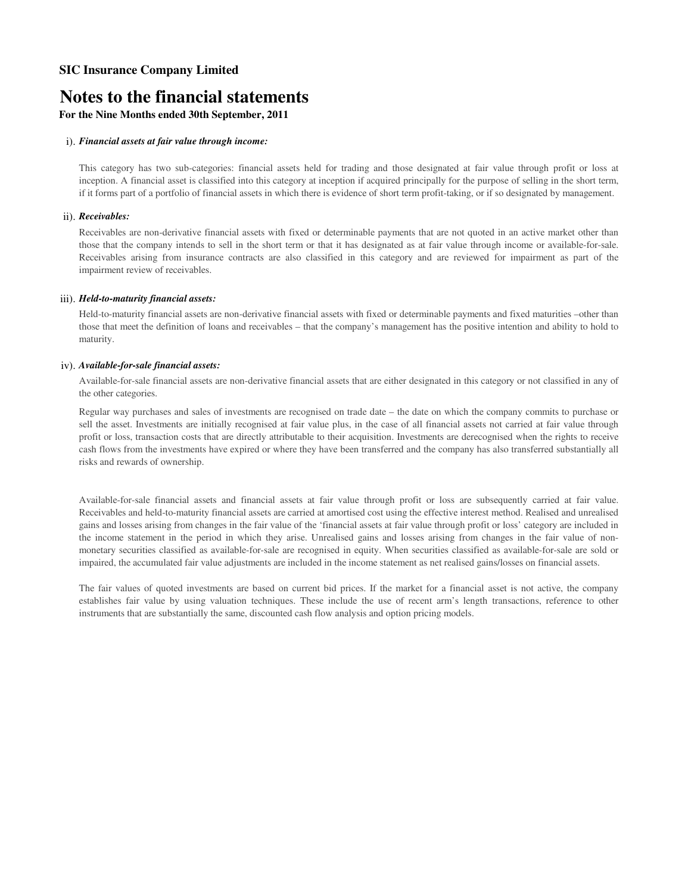## **Notes to the financial statements**

### **For the Nine Months ended 30th September, 2011**

### i). *Financial assets at fair value through income:*

This category has two sub-categories: financial assets held for trading and those designated at fair value through profit or loss at inception. A financial asset is classified into this category at inception if acquired principally for the purpose of selling in the short term, if it forms part of a portfolio of financial assets in which there is evidence of short term profit-taking, or if so designated by management.

### ii). *Receivables:*

Receivables are non-derivative financial assets with fixed or determinable payments that are not quoted in an active market other than those that the company intends to sell in the short term or that it has designated as at fair value through income or available-for-sale. Receivables arising from insurance contracts are also classified in this category and are reviewed for impairment as part of the impairment review of receivables.

#### iii). *Held-to-maturity financial assets:*

Held-to-maturity financial assets are non-derivative financial assets with fixed or determinable payments and fixed maturities –other than those that meet the definition of loans and receivables – that the company's management has the positive intention and ability to hold to maturity.

### iv). *Available-for-sale financial assets:*

Available-for-sale financial assets are non-derivative financial assets that are either designated in this category or not classified in any of the other categories.

Regular way purchases and sales of investments are recognised on trade date – the date on which the company commits to purchase or sell the asset. Investments are initially recognised at fair value plus, in the case of all financial assets not carried at fair value through profit or loss, transaction costs that are directly attributable to their acquisition. Investments are derecognised when the rights to receive cash flows from the investments have expired or where they have been transferred and the company has also transferred substantially all risks and rewards of ownership.

Available-for-sale financial assets and financial assets at fair value through profit or loss are subsequently carried at fair value. Receivables and held-to-maturity financial assets are carried at amortised cost using the effective interest method. Realised and unrealised gains and losses arising from changes in the fair value of the 'financial assets at fair value through profit or loss' category are included in the income statement in the period in which they arise. Unrealised gains and losses arising from changes in the fair value of nonmonetary securities classified as available-for-sale are recognised in equity. When securities classified as available-for-sale are sold or impaired, the accumulated fair value adjustments are included in the income statement as net realised gains/losses on financial assets.

The fair values of quoted investments are based on current bid prices. If the market for a financial asset is not active, the company establishes fair value by using valuation techniques. These include the use of recent arm's length transactions, reference to other instruments that are substantially the same, discounted cash flow analysis and option pricing models.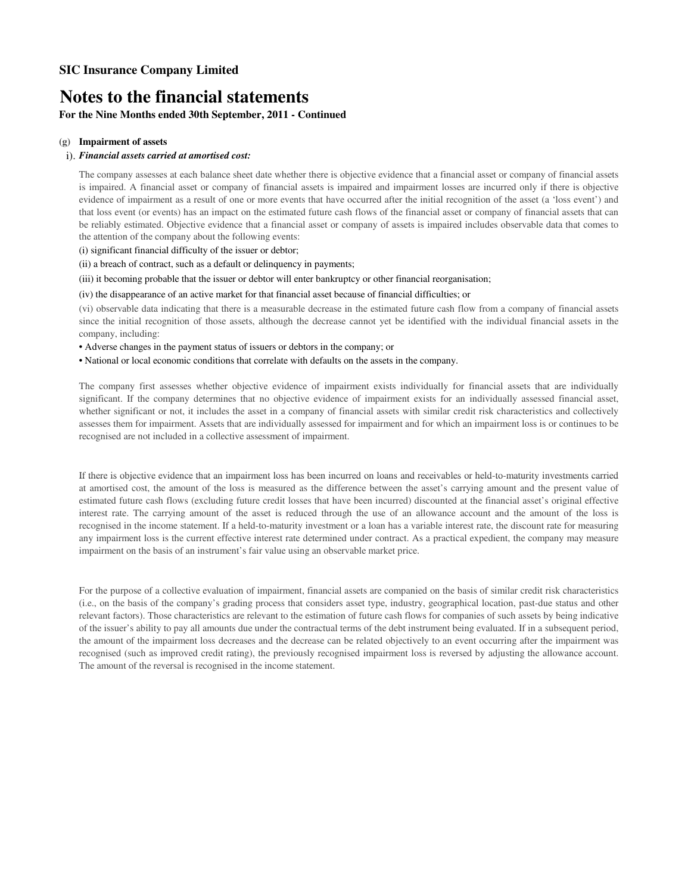### **For the Nine Months ended 30th September, 2011 - Continued**

#### **(g) Impairment of assets**

#### i). *Financial assets carried at amortised cost:*

The company assesses at each balance sheet date whether there is objective evidence that a financial asset or company of financial assets is impaired. A financial asset or company of financial assets is impaired and impairment losses are incurred only if there is objective evidence of impairment as a result of one or more events that have occurred after the initial recognition of the asset (a 'loss event') and that loss event (or events) has an impact on the estimated future cash flows of the financial asset or company of financial assets that can be reliably estimated. Objective evidence that a financial asset or company of assets is impaired includes observable data that comes to the attention of the company about the following events:

(i) significant financial difficulty of the issuer or debtor;

(ii) a breach of contract, such as a default or delinquency in payments;

(iii) it becoming probable that the issuer or debtor will enter bankruptcy or other financial reorganisation;

(iv) the disappearance of an active market for that financial asset because of financial difficulties; or

(vi) observable data indicating that there is a measurable decrease in the estimated future cash flow from a company of financial assets since the initial recognition of those assets, although the decrease cannot yet be identified with the individual financial assets in the company, including:

- Adverse changes in the payment status of issuers or debtors in the company; or
- National or local economic conditions that correlate with defaults on the assets in the company.

The company first assesses whether objective evidence of impairment exists individually for financial assets that are individually significant. If the company determines that no objective evidence of impairment exists for an individually assessed financial asset, whether significant or not, it includes the asset in a company of financial assets with similar credit risk characteristics and collectively assesses them for impairment. Assets that are individually assessed for impairment and for which an impairment loss is or continues to be recognised are not included in a collective assessment of impairment.

If there is objective evidence that an impairment loss has been incurred on loans and receivables or held-to-maturity investments carried at amortised cost, the amount of the loss is measured as the difference between the asset's carrying amount and the present value of estimated future cash flows (excluding future credit losses that have been incurred) discounted at the financial asset's original effective interest rate. The carrying amount of the asset is reduced through the use of an allowance account and the amount of the loss is recognised in the income statement. If a held-to-maturity investment or a loan has a variable interest rate, the discount rate for measuring any impairment loss is the current effective interest rate determined under contract. As a practical expedient, the company may measure impairment on the basis of an instrument's fair value using an observable market price.

For the purpose of a collective evaluation of impairment, financial assets are companied on the basis of similar credit risk characteristics (i.e., on the basis of the company's grading process that considers asset type, industry, geographical location, past-due status and other relevant factors). Those characteristics are relevant to the estimation of future cash flows for companies of such assets by being indicative of the issuer's ability to pay all amounts due under the contractual terms of the debt instrument being evaluated. If in a subsequent period, the amount of the impairment loss decreases and the decrease can be related objectively to an event occurring after the impairment was recognised (such as improved credit rating), the previously recognised impairment loss is reversed by adjusting the allowance account. The amount of the reversal is recognised in the income statement.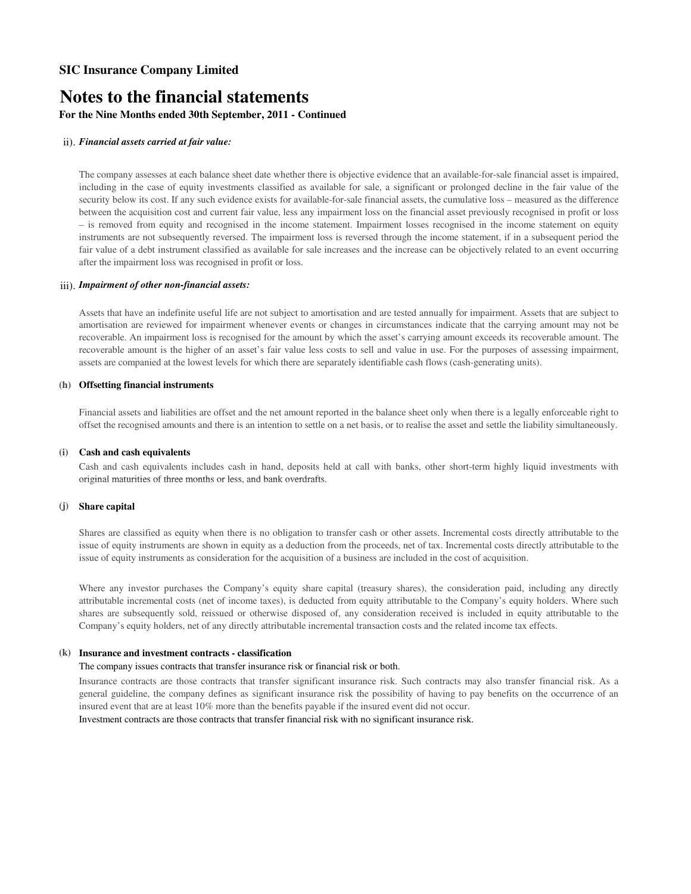### **For the Nine Months ended 30th September, 2011 - Continued**

### ii). *Financial assets carried at fair value:*

The company assesses at each balance sheet date whether there is objective evidence that an available-for-sale financial asset is impaired, including in the case of equity investments classified as available for sale, a significant or prolonged decline in the fair value of the security below its cost. If any such evidence exists for available-for-sale financial assets, the cumulative loss – measured as the difference between the acquisition cost and current fair value, less any impairment loss on the financial asset previously recognised in profit or loss – is removed from equity and recognised in the income statement. Impairment losses recognised in the income statement on equity instruments are not subsequently reversed. The impairment loss is reversed through the income statement, if in a subsequent period the fair value of a debt instrument classified as available for sale increases and the increase can be objectively related to an event occurring after the impairment loss was recognised in profit or loss.

#### iii). *Impairment of other non-financial assets:*

Assets that have an indefinite useful life are not subject to amortisation and are tested annually for impairment. Assets that are subject to amortisation are reviewed for impairment whenever events or changes in circumstances indicate that the carrying amount may not be recoverable. An impairment loss is recognised for the amount by which the asset's carrying amount exceeds its recoverable amount. The recoverable amount is the higher of an asset's fair value less costs to sell and value in use. For the purposes of assessing impairment, assets are companied at the lowest levels for which there are separately identifiable cash flows (cash-generating units).

#### **(h) Offsetting financial instruments**

Financial assets and liabilities are offset and the net amount reported in the balance sheet only when there is a legally enforceable right to offset the recognised amounts and there is an intention to settle on a net basis, or to realise the asset and settle the liability simultaneously.

#### **(i) Cash and cash equivalents**

Cash and cash equivalents includes cash in hand, deposits held at call with banks, other short-term highly liquid investments with original maturities of three months or less, and bank overdrafts.

#### **(j) Share capital**

Shares are classified as equity when there is no obligation to transfer cash or other assets. Incremental costs directly attributable to the issue of equity instruments are shown in equity as a deduction from the proceeds, net of tax. Incremental costs directly attributable to the issue of equity instruments as consideration for the acquisition of a business are included in the cost of acquisition.

Where any investor purchases the Company's equity share capital (treasury shares), the consideration paid, including any directly attributable incremental costs (net of income taxes), is deducted from equity attributable to the Company's equity holders. Where such shares are subsequently sold, reissued or otherwise disposed of, any consideration received is included in equity attributable to the Company's equity holders, net of any directly attributable incremental transaction costs and the related income tax effects.

#### **(k) Insurance and investment contracts - classification**

#### The company issues contracts that transfer insurance risk or financial risk or both.

Insurance contracts are those contracts that transfer significant insurance risk. Such contracts may also transfer financial risk. As a general guideline, the company defines as significant insurance risk the possibility of having to pay benefits on the occurrence of an insured event that are at least 10% more than the benefits payable if the insured event did not occur.

Investment contracts are those contracts that transfer financial risk with no significant insurance risk.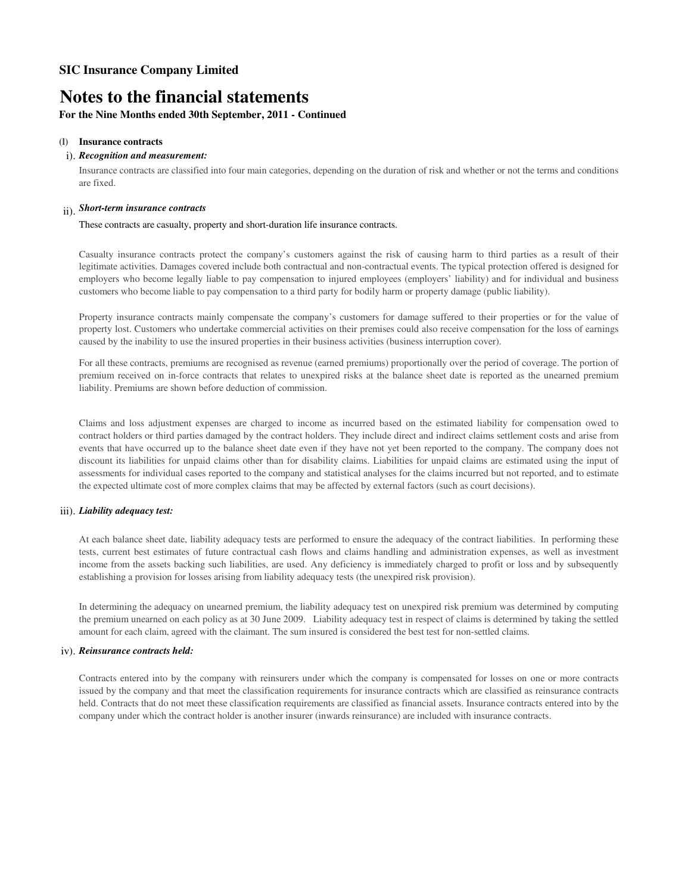## **Notes to the financial statements**

### **For the Nine Months ended 30th September, 2011 - Continued**

#### **(l) Insurance contracts**

#### i). *Recognition and measurement:*

Insurance contracts are classified into four main categories, depending on the duration of risk and whether or not the terms and conditions are fixed.

### ii). *Short-term insurance contracts*

These contracts are casualty, property and short-duration life insurance contracts.

Casualty insurance contracts protect the company's customers against the risk of causing harm to third parties as a result of their legitimate activities. Damages covered include both contractual and non-contractual events. The typical protection offered is designed for employers who become legally liable to pay compensation to injured employees (employers' liability) and for individual and business customers who become liable to pay compensation to a third party for bodily harm or property damage (public liability).

Property insurance contracts mainly compensate the company's customers for damage suffered to their properties or for the value of property lost. Customers who undertake commercial activities on their premises could also receive compensation for the loss of earnings caused by the inability to use the insured properties in their business activities (business interruption cover).

For all these contracts, premiums are recognised as revenue (earned premiums) proportionally over the period of coverage. The portion of premium received on in-force contracts that relates to unexpired risks at the balance sheet date is reported as the unearned premium liability. Premiums are shown before deduction of commission.

Claims and loss adjustment expenses are charged to income as incurred based on the estimated liability for compensation owed to contract holders or third parties damaged by the contract holders. They include direct and indirect claims settlement costs and arise from events that have occurred up to the balance sheet date even if they have not yet been reported to the company. The company does not discount its liabilities for unpaid claims other than for disability claims. Liabilities for unpaid claims are estimated using the input of assessments for individual cases reported to the company and statistical analyses for the claims incurred but not reported, and to estimate the expected ultimate cost of more complex claims that may be affected by external factors (such as court decisions).

#### iii). *Liability adequacy test:*

At each balance sheet date, liability adequacy tests are performed to ensure the adequacy of the contract liabilities. In performing these tests, current best estimates of future contractual cash flows and claims handling and administration expenses, as well as investment income from the assets backing such liabilities, are used. Any deficiency is immediately charged to profit or loss and by subsequently establishing a provision for losses arising from liability adequacy tests (the unexpired risk provision).

In determining the adequacy on unearned premium, the liability adequacy test on unexpired risk premium was determined by computing the premium unearned on each policy as at 30 June 2009. Liability adequacy test in respect of claims is determined by taking the settled amount for each claim, agreed with the claimant. The sum insured is considered the best test for non-settled claims.

#### iv). *Reinsurance contracts held:*

Contracts entered into by the company with reinsurers under which the company is compensated for losses on one or more contracts issued by the company and that meet the classification requirements for insurance contracts which are classified as reinsurance contracts held. Contracts that do not meet these classification requirements are classified as financial assets. Insurance contracts entered into by the company under which the contract holder is another insurer (inwards reinsurance) are included with insurance contracts.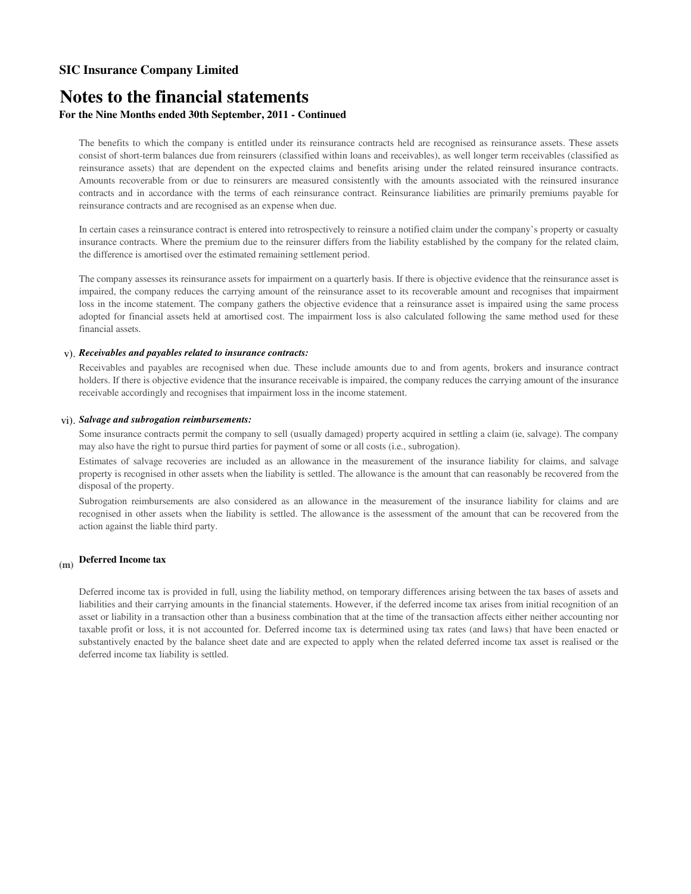## **Notes to the financial statements**

### **For the Nine Months ended 30th September, 2011 - Continued**

The benefits to which the company is entitled under its reinsurance contracts held are recognised as reinsurance assets. These assets consist of short-term balances due from reinsurers (classified within loans and receivables), as well longer term receivables (classified as reinsurance assets) that are dependent on the expected claims and benefits arising under the related reinsured insurance contracts. Amounts recoverable from or due to reinsurers are measured consistently with the amounts associated with the reinsured insurance contracts and in accordance with the terms of each reinsurance contract. Reinsurance liabilities are primarily premiums payable for reinsurance contracts and are recognised as an expense when due.

In certain cases a reinsurance contract is entered into retrospectively to reinsure a notified claim under the company's property or casualty insurance contracts. Where the premium due to the reinsurer differs from the liability established by the company for the related claim, the difference is amortised over the estimated remaining settlement period.

The company assesses its reinsurance assets for impairment on a quarterly basis. If there is objective evidence that the reinsurance asset is impaired, the company reduces the carrying amount of the reinsurance asset to its recoverable amount and recognises that impairment loss in the income statement. The company gathers the objective evidence that a reinsurance asset is impaired using the same process adopted for financial assets held at amortised cost. The impairment loss is also calculated following the same method used for these financial assets.

#### v). *Receivables and payables related to insurance contracts:*

Receivables and payables are recognised when due. These include amounts due to and from agents, brokers and insurance contract holders. If there is objective evidence that the insurance receivable is impaired, the company reduces the carrying amount of the insurance receivable accordingly and recognises that impairment loss in the income statement.

#### vi). *Salvage and subrogation reimbursements:*

Some insurance contracts permit the company to sell (usually damaged) property acquired in settling a claim (ie, salvage). The company may also have the right to pursue third parties for payment of some or all costs (i.e., subrogation).

Estimates of salvage recoveries are included as an allowance in the measurement of the insurance liability for claims, and salvage property is recognised in other assets when the liability is settled. The allowance is the amount that can reasonably be recovered from the disposal of the property.

Subrogation reimbursements are also considered as an allowance in the measurement of the insurance liability for claims and are recognised in other assets when the liability is settled. The allowance is the assessment of the amount that can be recovered from the action against the liable third party.

#### **(m) Deferred Income tax**

Deferred income tax is provided in full, using the liability method, on temporary differences arising between the tax bases of assets and liabilities and their carrying amounts in the financial statements. However, if the deferred income tax arises from initial recognition of an asset or liability in a transaction other than a business combination that at the time of the transaction affects either neither accounting nor taxable profit or loss, it is not accounted for. Deferred income tax is determined using tax rates (and laws) that have been enacted or substantively enacted by the balance sheet date and are expected to apply when the related deferred income tax asset is realised or the deferred income tax liability is settled.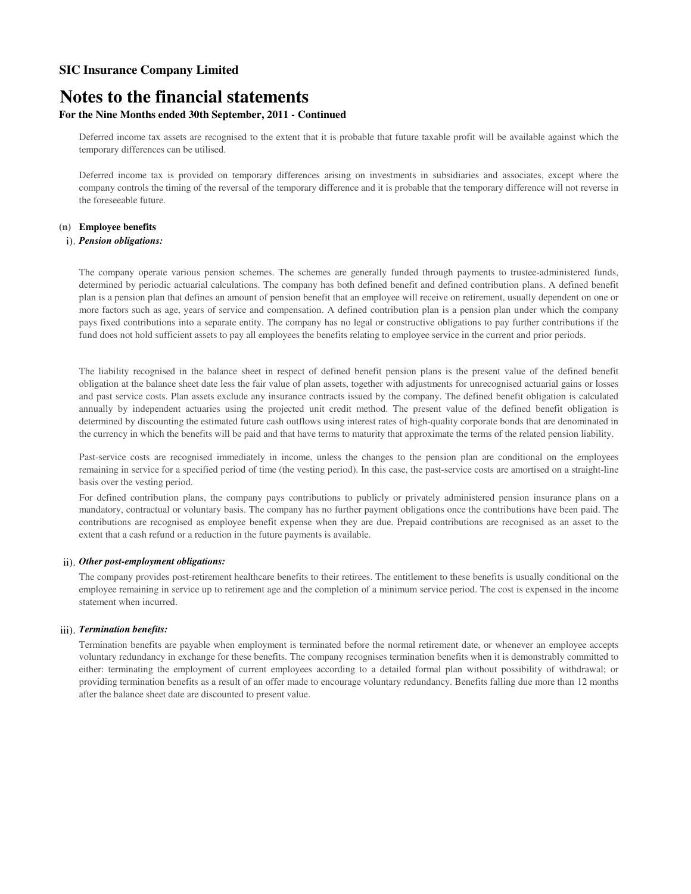## **Notes to the financial statements**

### **For the Nine Months ended 30th September, 2011 - Continued**

Deferred income tax assets are recognised to the extent that it is probable that future taxable profit will be available against which the temporary differences can be utilised.

Deferred income tax is provided on temporary differences arising on investments in subsidiaries and associates, except where the company controls the timing of the reversal of the temporary difference and it is probable that the temporary difference will not reverse in the foreseeable future.

#### **(n) Employee benefits**

#### i). *Pension obligations:*

The company operate various pension schemes. The schemes are generally funded through payments to trustee-administered funds, determined by periodic actuarial calculations. The company has both defined benefit and defined contribution plans. A defined benefit plan is a pension plan that defines an amount of pension benefit that an employee will receive on retirement, usually dependent on one or more factors such as age, years of service and compensation. A defined contribution plan is a pension plan under which the company pays fixed contributions into a separate entity. The company has no legal or constructive obligations to pay further contributions if the fund does not hold sufficient assets to pay all employees the benefits relating to employee service in the current and prior periods.

The liability recognised in the balance sheet in respect of defined benefit pension plans is the present value of the defined benefit obligation at the balance sheet date less the fair value of plan assets, together with adjustments for unrecognised actuarial gains or losses and past service costs. Plan assets exclude any insurance contracts issued by the company. The defined benefit obligation is calculated annually by independent actuaries using the projected unit credit method. The present value of the defined benefit obligation is determined by discounting the estimated future cash outflows using interest rates of high-quality corporate bonds that are denominated in the currency in which the benefits will be paid and that have terms to maturity that approximate the terms of the related pension liability.

Past-service costs are recognised immediately in income, unless the changes to the pension plan are conditional on the employees remaining in service for a specified period of time (the vesting period). In this case, the past-service costs are amortised on a straight-line basis over the vesting period.

For defined contribution plans, the company pays contributions to publicly or privately administered pension insurance plans on a mandatory, contractual or voluntary basis. The company has no further payment obligations once the contributions have been paid. The contributions are recognised as employee benefit expense when they are due. Prepaid contributions are recognised as an asset to the extent that a cash refund or a reduction in the future payments is available.

#### ii). *Other post-employment obligations:*

The company provides post-retirement healthcare benefits to their retirees. The entitlement to these benefits is usually conditional on the employee remaining in service up to retirement age and the completion of a minimum service period. The cost is expensed in the income statement when incurred.

#### iii). *Termination benefits:*

Termination benefits are payable when employment is terminated before the normal retirement date, or whenever an employee accepts voluntary redundancy in exchange for these benefits. The company recognises termination benefits when it is demonstrably committed to either: terminating the employment of current employees according to a detailed formal plan without possibility of withdrawal; or providing termination benefits as a result of an offer made to encourage voluntary redundancy. Benefits falling due more than 12 months after the balance sheet date are discounted to present value.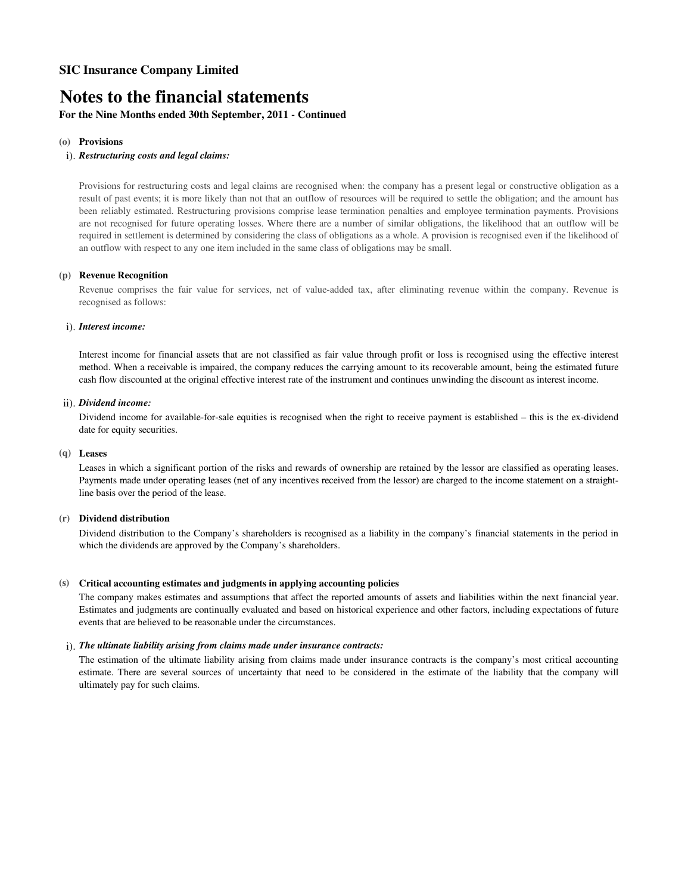### **For the Nine Months ended 30th September, 2011 - Continued**

#### **(o) Provisions**

#### i). *Restructuring costs and legal claims:*

Provisions for restructuring costs and legal claims are recognised when: the company has a present legal or constructive obligation as a result of past events; it is more likely than not that an outflow of resources will be required to settle the obligation; and the amount has been reliably estimated. Restructuring provisions comprise lease termination penalties and employee termination payments. Provisions are not recognised for future operating losses. Where there are a number of similar obligations, the likelihood that an outflow will be required in settlement is determined by considering the class of obligations as a whole. A provision is recognised even if the likelihood of an outflow with respect to any one item included in the same class of obligations may be small.

#### **(p) Revenue Recognition**

Revenue comprises the fair value for services, net of value-added tax, after eliminating revenue within the company. Revenue is recognised as follows:

### i). *Interest income:*

Interest income for financial assets that are not classified as fair value through profit or loss is recognised using the effective interest method. When a receivable is impaired, the company reduces the carrying amount to its recoverable amount, being the estimated future cash flow discounted at the original effective interest rate of the instrument and continues unwinding the discount as interest income.

#### ii). *Dividend income:*

Dividend income for available-for-sale equities is recognised when the right to receive payment is established – this is the ex-dividend date for equity securities.

#### **(q) Leases**

Leases in which a significant portion of the risks and rewards of ownership are retained by the lessor are classified as operating leases. Payments made under operating leases (net of any incentives received from the lessor) are charged to the income statement on a straightline basis over the period of the lease.

#### **(r) Dividend distribution**

Dividend distribution to the Company's shareholders is recognised as a liability in the company's financial statements in the period in which the dividends are approved by the Company's shareholders.

#### **(s) Critical accounting estimates and judgments in applying accounting policies**

The company makes estimates and assumptions that affect the reported amounts of assets and liabilities within the next financial year. Estimates and judgments are continually evaluated and based on historical experience and other factors, including expectations of future events that are believed to be reasonable under the circumstances.

#### i). *The ultimate liability arising from claims made under insurance contracts:*

The estimation of the ultimate liability arising from claims made under insurance contracts is the company's most critical accounting estimate. There are several sources of uncertainty that need to be considered in the estimate of the liability that the company will ultimately pay for such claims.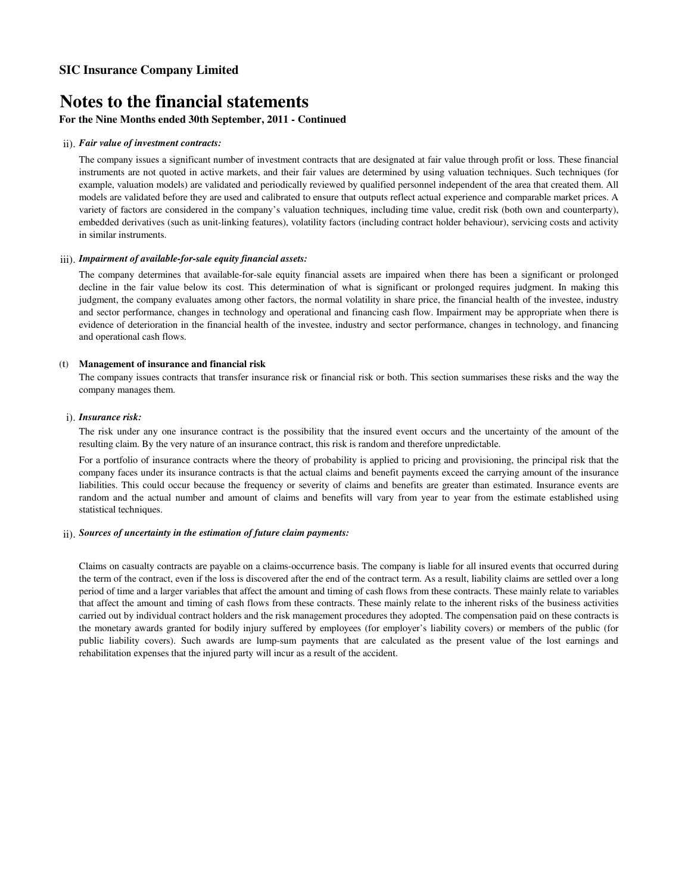### **For the Nine Months ended 30th September, 2011 - Continued**

#### ii). *Fair value of investment contracts:*

The company issues a significant number of investment contracts that are designated at fair value through profit or loss. These financial instruments are not quoted in active markets, and their fair values are determined by using valuation techniques. Such techniques (for example, valuation models) are validated and periodically reviewed by qualified personnel independent of the area that created them. All models are validated before they are used and calibrated to ensure that outputs reflect actual experience and comparable market prices. A variety of factors are considered in the company's valuation techniques, including time value, credit risk (both own and counterparty), embedded derivatives (such as unit-linking features), volatility factors (including contract holder behaviour), servicing costs and activity in similar instruments.

#### iii). *Impairment of available-for-sale equity financial assets:*

The company determines that available-for-sale equity financial assets are impaired when there has been a significant or prolonged decline in the fair value below its cost. This determination of what is significant or prolonged requires judgment. In making this judgment, the company evaluates among other factors, the normal volatility in share price, the financial health of the investee, industry and sector performance, changes in technology and operational and financing cash flow. Impairment may be appropriate when there is evidence of deterioration in the financial health of the investee, industry and sector performance, changes in technology, and financing and operational cash flows.

#### **(t) Management of insurance and financial risk**

The company issues contracts that transfer insurance risk or financial risk or both. This section summarises these risks and the way the company manages them.

#### i). *Insurance risk:*

The risk under any one insurance contract is the possibility that the insured event occurs and the uncertainty of the amount of the resulting claim. By the very nature of an insurance contract, this risk is random and therefore unpredictable.

For a portfolio of insurance contracts where the theory of probability is applied to pricing and provisioning, the principal risk that the company faces under its insurance contracts is that the actual claims and benefit payments exceed the carrying amount of the insurance liabilities. This could occur because the frequency or severity of claims and benefits are greater than estimated. Insurance events are random and the actual number and amount of claims and benefits will vary from year to year from the estimate established using statistical techniques.

### ii). *Sources of uncertainty in the estimation of future claim payments:*

Claims on casualty contracts are payable on a claims-occurrence basis. The company is liable for all insured events that occurred during the term of the contract, even if the loss is discovered after the end of the contract term. As a result, liability claims are settled over a long period of time and a larger variables that affect the amount and timing of cash flows from these contracts. These mainly relate to variables that affect the amount and timing of cash flows from these contracts. These mainly relate to the inherent risks of the business activities carried out by individual contract holders and the risk management procedures they adopted. The compensation paid on these contracts is the monetary awards granted for bodily injury suffered by employees (for employer's liability covers) or members of the public (for public liability covers). Such awards are lump-sum payments that are calculated as the present value of the lost earnings and rehabilitation expenses that the injured party will incur as a result of the accident.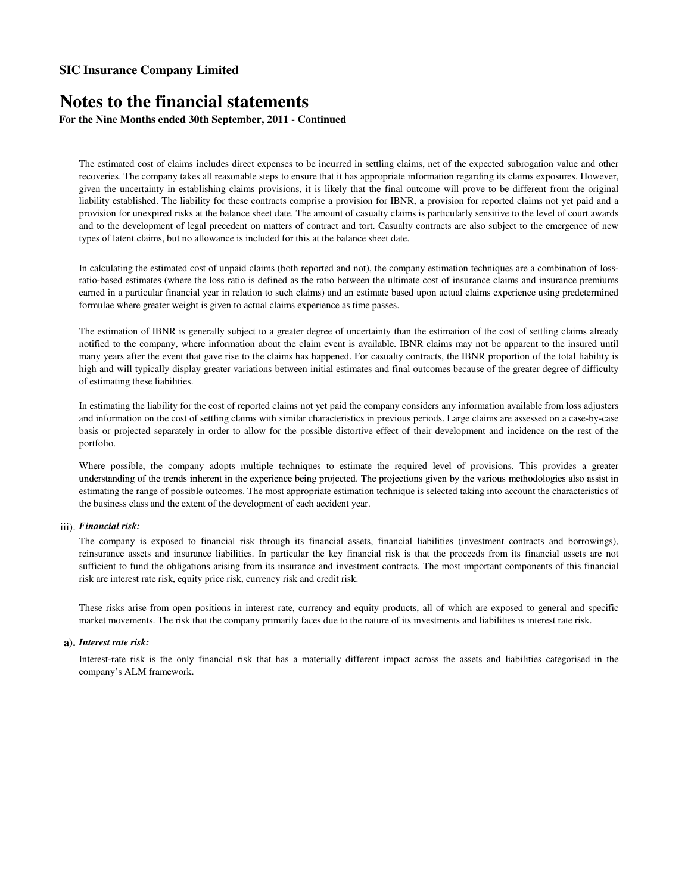**For the Nine Months ended 30th September, 2011 - Continued**

The estimated cost of claims includes direct expenses to be incurred in settling claims, net of the expected subrogation value and other recoveries. The company takes all reasonable steps to ensure that it has appropriate information regarding its claims exposures. However, given the uncertainty in establishing claims provisions, it is likely that the final outcome will prove to be different from the original liability established. The liability for these contracts comprise a provision for IBNR, a provision for reported claims not yet paid and a provision for unexpired risks at the balance sheet date. The amount of casualty claims is particularly sensitive to the level of court awards and to the development of legal precedent on matters of contract and tort. Casualty contracts are also subject to the emergence of new types of latent claims, but no allowance is included for this at the balance sheet date.

In calculating the estimated cost of unpaid claims (both reported and not), the company estimation techniques are a combination of lossratio-based estimates (where the loss ratio is defined as the ratio between the ultimate cost of insurance claims and insurance premiums earned in a particular financial year in relation to such claims) and an estimate based upon actual claims experience using predetermined formulae where greater weight is given to actual claims experience as time passes.

The estimation of IBNR is generally subject to a greater degree of uncertainty than the estimation of the cost of settling claims already notified to the company, where information about the claim event is available. IBNR claims may not be apparent to the insured until many years after the event that gave rise to the claims has happened. For casualty contracts, the IBNR proportion of the total liability is high and will typically display greater variations between initial estimates and final outcomes because of the greater degree of difficulty of estimating these liabilities.

In estimating the liability for the cost of reported claims not yet paid the company considers any information available from loss adjusters and information on the cost of settling claims with similar characteristics in previous periods. Large claims are assessed on a case-by-case basis or projected separately in order to allow for the possible distortive effect of their development and incidence on the rest of the portfolio.

Where possible, the company adopts multiple techniques to estimate the required level of provisions. This provides a greater understanding of the trends inherent in the experience being projected. The projections given by the various methodologies also assist in estimating the range of possible outcomes. The most appropriate estimation technique is selected taking into account the characteristics of the business class and the extent of the development of each accident year.

#### iii). *Financial risk:*

The company is exposed to financial risk through its financial assets, financial liabilities (investment contracts and borrowings), reinsurance assets and insurance liabilities. In particular the key financial risk is that the proceeds from its financial assets are not sufficient to fund the obligations arising from its insurance and investment contracts. The most important components of this financial risk are interest rate risk, equity price risk, currency risk and credit risk.

These risks arise from open positions in interest rate, currency and equity products, all of which are exposed to general and specific market movements. The risk that the company primarily faces due to the nature of its investments and liabilities is interest rate risk.

#### **a).** *Interest rate risk:*

Interest-rate risk is the only financial risk that has a materially different impact across the assets and liabilities categorised in the company's ALM framework.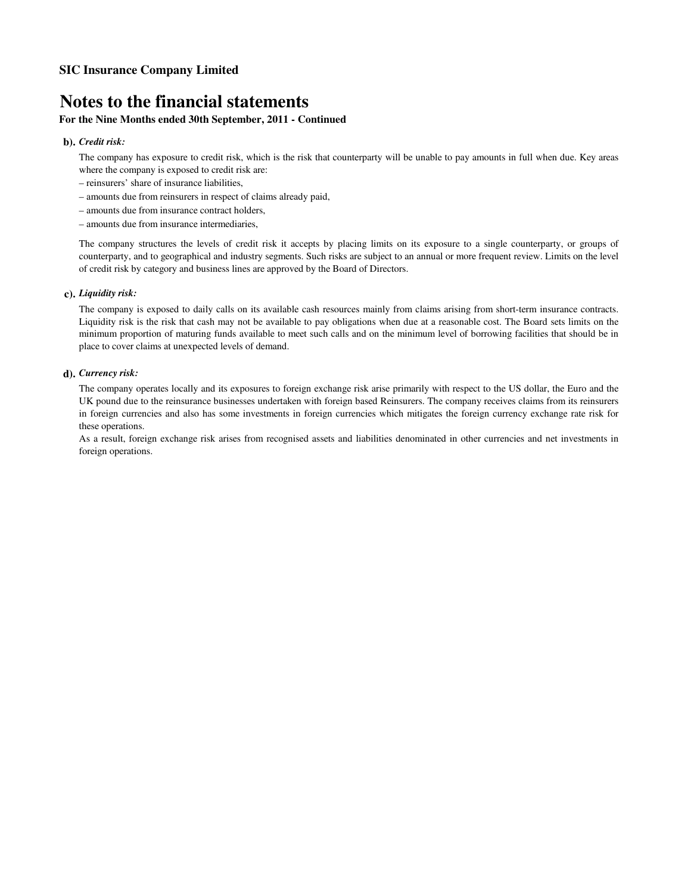### **For the Nine Months ended 30th September, 2011 - Continued**

### **b).** *Credit risk:*

The company has exposure to credit risk, which is the risk that counterparty will be unable to pay amounts in full when due. Key areas where the company is exposed to credit risk are:

- reinsurers' share of insurance liabilities,
- amounts due from reinsurers in respect of claims already paid,
- amounts due from insurance contract holders,

– amounts due from insurance intermediaries,

The company structures the levels of credit risk it accepts by placing limits on its exposure to a single counterparty, or groups of counterparty, and to geographical and industry segments. Such risks are subject to an annual or more frequent review. Limits on the level of credit risk by category and business lines are approved by the Board of Directors.

#### **c).** *Liquidity risk:*

The company is exposed to daily calls on its available cash resources mainly from claims arising from short-term insurance contracts. Liquidity risk is the risk that cash may not be available to pay obligations when due at a reasonable cost. The Board sets limits on the minimum proportion of maturing funds available to meet such calls and on the minimum level of borrowing facilities that should be in place to cover claims at unexpected levels of demand.

#### **d).** *Currency risk:*

The company operates locally and its exposures to foreign exchange risk arise primarily with respect to the US dollar, the Euro and the UK pound due to the reinsurance businesses undertaken with foreign based Reinsurers. The company receives claims from its reinsurers in foreign currencies and also has some investments in foreign currencies which mitigates the foreign currency exchange rate risk for these operations.

As a result, foreign exchange risk arises from recognised assets and liabilities denominated in other currencies and net investments in foreign operations.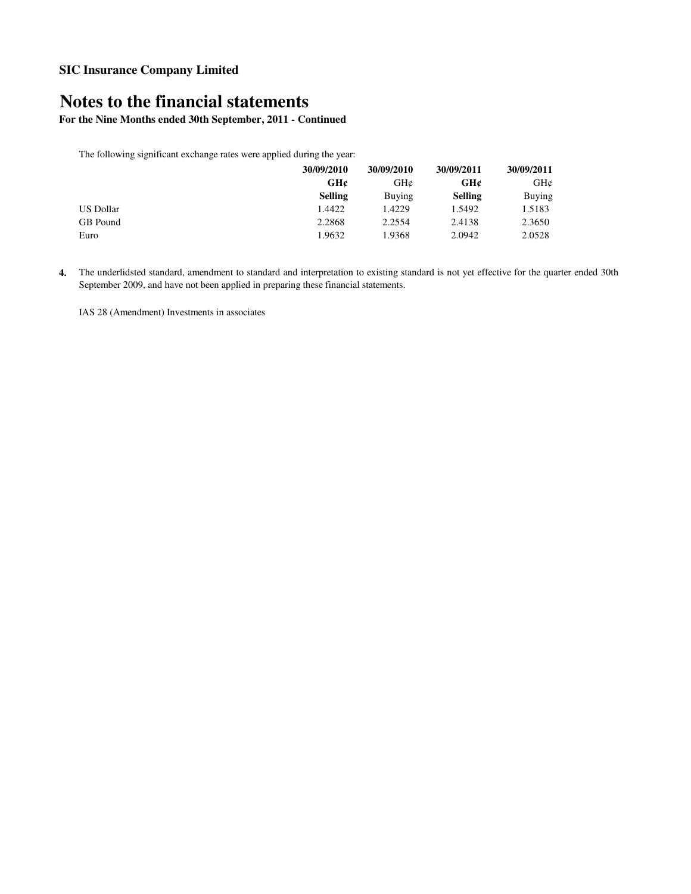# **Notes to the financial statements**

**For the Nine Months ended 30th September, 2011 - Continued**

The following significant exchange rates were applied during the year:

| 30/09/2010     | 30/09/2010 | 30/09/2011     | 30/09/2011    |
|----------------|------------|----------------|---------------|
| GH¢            | GHC        | GH¢            | GHz           |
| <b>Selling</b> | Buying     | <b>Selling</b> | <b>Buying</b> |
| 1.4422         | 1.4229     | 1.5492         | 1.5183        |
| 2.2868         | 2.2554     | 2.4138         | 2.3650        |
| 1.9632         | 1.9368     | 2.0942         | 2.0528        |
|                |            |                |               |

**4.** The underlidsted standard, amendment to standard and interpretation to existing standard is not yet effective for the quarter ended 30th September 2009, and have not been applied in preparing these financial statements.

IAS 28 (Amendment) Investments in associates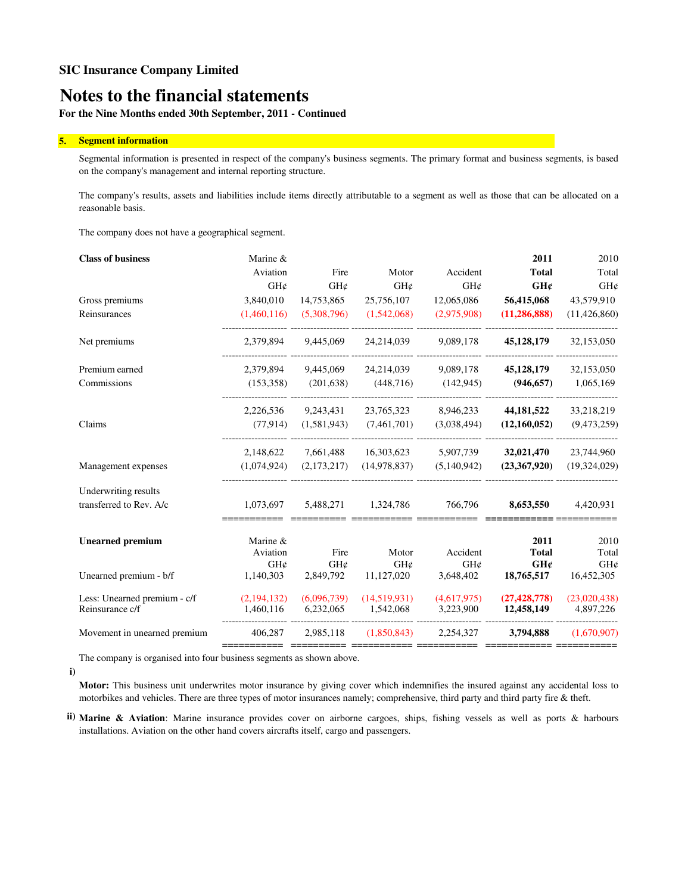**For the Nine Months ended 30th September, 2011 - Continued**

#### **5. Segment information**

Segmental information is presented in respect of the company's business segments. The primary format and business segments, is based on the company's management and internal reporting structure.

The company's results, assets and liabilities include items directly attributable to a segment as well as those that can be allocated on a reasonable basis.

The company does not have a geographical segment.

| <b>Class of business</b>     | Marine &             |             |              |             | 2011                 | 2010           |
|------------------------------|----------------------|-------------|--------------|-------------|----------------------|----------------|
|                              | Aviation             | Fire        | Motor        | Accident    | <b>Total</b>         | Total          |
|                              | GH¢                  | GH¢         | GH¢          | GH¢         | GH¢                  | GH¢            |
| Gross premiums               | 3,840,010            | 14,753,865  | 25,756,107   | 12,065,086  | 56,415,068           | 43,579,910     |
| Reinsurances                 | (1,460,116)          | (5,308,796) | (1,542,068)  | (2,975,908) | (11, 286, 888)       | (11, 426, 860) |
| Net premiums                 | 2,379,894            | 9,445,069   | 24,214,039   | 9,089,178   | 45,128,179           | 32,153,050     |
| Premium earned               | 2,379,894            | 9,445,069   | 24,214,039   | 9,089,178   | 45,128,179           | 32,153,050     |
| Commissions                  | (153, 358)           | (201, 638)  | (448, 716)   | (142, 945)  | (946, 657)           | 1,065,169      |
|                              | 2,226,536            | 9,243,431   | 23,765,323   | 8,946,233   | 44, 181, 522         | 33,218,219     |
| Claims                       | (77.914)             | (1,581,943) | (7,461,701)  | (3,038,494) | (12,160,052)         | (9,473,259)    |
|                              | 2,148,622            | 7,661,488   | 16,303,623   | 5,907,739   | 32,021,470           | 23,744,960     |
| Management expenses          | (1,074,924)          | (2,173,217) | (14,978,837) | (5,140,942) | (23,367,920)         | (19,324,029)   |
| Underwriting results         |                      |             |              |             |                      |                |
| transferred to Rev. A/c      | 1,073,697            | 5,488,271   | 1,324,786    | 766,796     | 8,653,550            | 4,420,931      |
|                              |                      |             |              |             |                      |                |
| <b>Unearned premium</b>      | Marine &<br>Aviation | Fire        | Motor        | Accident    | 2011<br><b>Total</b> | 2010<br>Total  |
|                              | GH¢                  | GH¢         | GH¢          | GH¢         | GH¢                  | GH¢            |
| Unearned premium - b/f       | 1,140,303            | 2,849,792   | 11,127,020   | 3,648,402   | 18,765,517           | 16,452,305     |
| Less: Unearned premium - c/f | (2,194,132)          | (6,096,739) | (14,519,931) | (4,617,975) | (27, 428, 778)       | (23,020,438)   |
| Reinsurance c/f              | 1,460,116            | 6,232,065   | 1,542,068    | 3,223,900   | 12,458,149           | 4,897,226      |
| Movement in unearned premium | 406,287              | 2,985,118   | (1,850,843)  | 2,254,327   | 3,794,888            | (1,670,907)    |
|                              |                      |             |              |             |                      |                |

The company is organised into four business segments as shown above.

**i)**

**Motor:** This business unit underwrites motor insurance by giving cover which indemnifies the insured against any accidental loss to motorbikes and vehicles. There are three types of motor insurances namely; comprehensive, third party and third party fire & theft.

**ii) Marine & Aviation**: Marine insurance provides cover on airborne cargoes, ships, fishing vessels as well as ports & harbours installations. Aviation on the other hand covers aircrafts itself, cargo and passengers.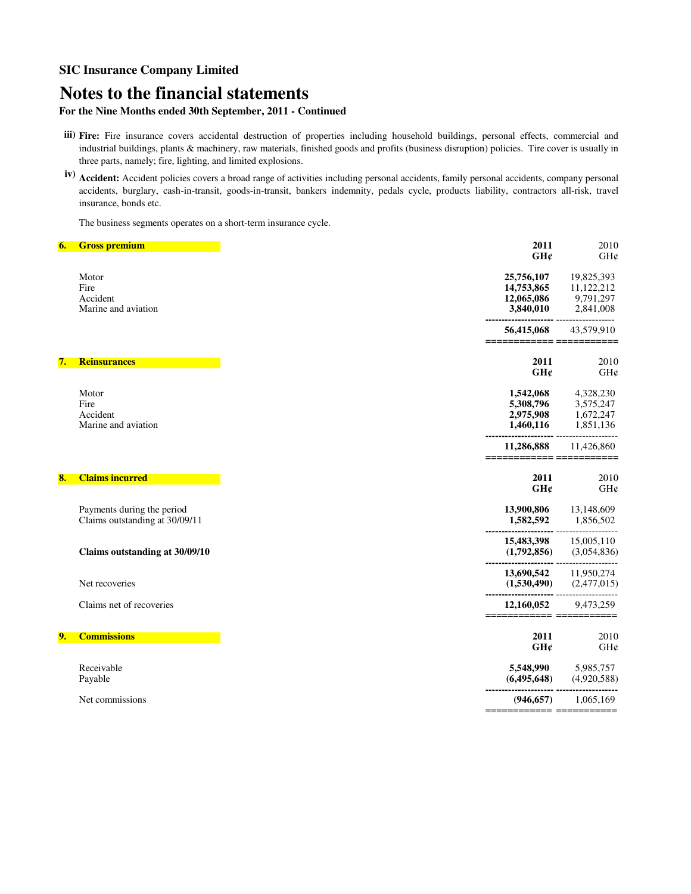## **Notes to the financial statements**

### **For the Nine Months ended 30th September, 2011 - Continued**

- **iii) Fire:** Fire insurance covers accidental destruction of properties including household buildings, personal effects, commercial and industrial buildings, plants & machinery, raw materials, finished goods and profits (business disruption) policies. Tire cover is usually in three parts, namely; fire, lighting, and limited explosions.
- **iv) Accident:** Accident policies covers a broad range of activities including personal accidents, family personal accidents, company personal accidents, burglary, cash-in-transit, goods-in-transit, bankers indemnity, pedals cycle, products liability, contractors all-risk, travel insurance, bonds etc.

The business segments operates on a short-term insurance cycle.

|                                | GHC                                    |                           |
|--------------------------------|----------------------------------------|---------------------------|
|                                |                                        | GH¢                       |
| Motor                          |                                        |                           |
|                                | 25,756,107                             | 19,825,393                |
| Fire                           | 14,753,865                             | 11,122,212                |
| Accident                       | 12,065,086                             | 9,791,297                 |
| Marine and aviation            | 3,840,010                              | 2,841,008                 |
|                                | 56,415,068<br>============ =========== | 43,579,910                |
| 7.<br><b>Reinsurances</b>      | 2011                                   | 2010                      |
|                                | GHC                                    | GH¢                       |
| Motor                          | 1,542,068                              | 4,328,230                 |
| Fire                           | 5,308,796                              | 3,575,247                 |
| Accident                       | 2,975,908                              |                           |
|                                |                                        | 1,672,247                 |
| Marine and aviation            | 1,460,116                              | 1,851,136<br>------------ |
|                                | 11,286,888<br>============ =======     | 11,426,860                |
| <b>Claims incurred</b><br>8.   | 2011                                   | 2010                      |
|                                | GHC                                    | GH¢                       |
| Payments during the period     | 13,900,806                             | 13,148,609                |
| Claims outstanding at 30/09/11 | 1,582,592                              | 1,856,502                 |
|                                |                                        |                           |
|                                | 15,483,398                             | 15,005,110                |
| Claims outstanding at 30/09/10 | (1,792,856)                            | (3,054,836)               |
|                                |                                        |                           |
|                                | 13,690,542                             | 11,950,274                |
| Net recoveries                 | (1,530,490)                            | (2,477,015)               |
|                                | --------------------- ---------------- |                           |
| Claims net of recoveries       | 12,160,052                             | 9,473,259                 |
|                                |                                        |                           |
| Q.<br><b>Commissions</b>       | 2011                                   | 2010                      |
|                                | GHC                                    | GH¢                       |
| Receivable                     | 5,548,990                              | 5,985,757                 |
|                                |                                        |                           |
| Payable                        | (6, 495, 648)                          | (4,920,588)               |
| Net commissions                | (946, 657)                             | 1,065,169                 |
|                                |                                        |                           |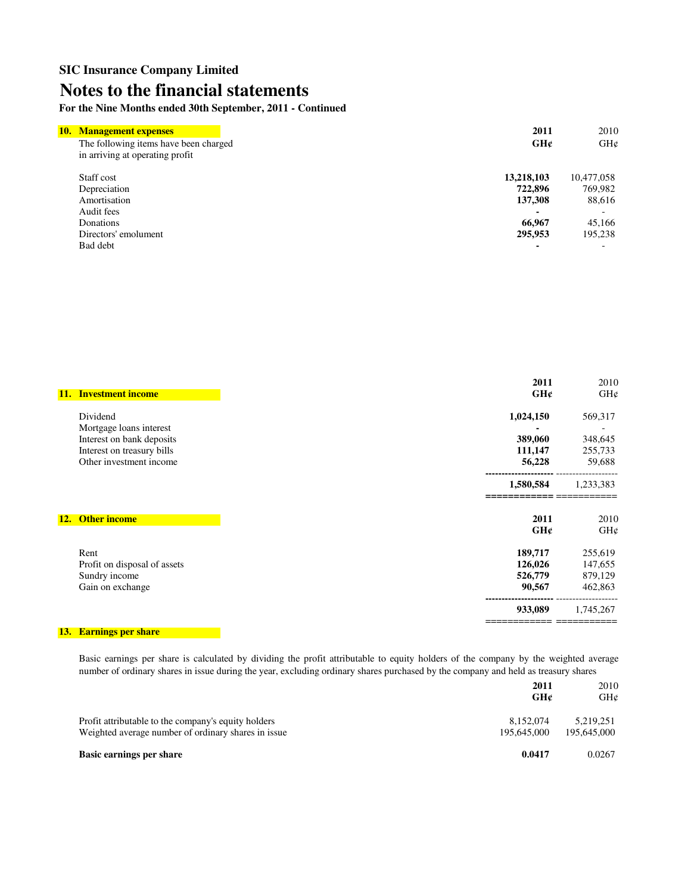## **Notes to the financial statements**

**For the Nine Months ended 30th September, 2011 - Continued**

| 10. Management expenses                                                  | 2011       | 2010       |
|--------------------------------------------------------------------------|------------|------------|
| The following items have been charged<br>in arriving at operating profit | GH¢        | GH¢        |
| Staff cost                                                               | 13,218,103 | 10,477,058 |
| Depreciation                                                             | 722,896    | 769,982    |
| Amortisation                                                             | 137,308    | 88,616     |
| Audit fees                                                               |            |            |
| Donations                                                                | 66,967     | 45,166     |
| Directors' emolument                                                     | 295,953    | 195,238    |
| Bad debt                                                                 |            |            |

|     |                                                      | 2011                      | 2010      |
|-----|------------------------------------------------------|---------------------------|-----------|
| 11. | <b>Investment income</b>                             | GH¢                       | GH¢       |
|     | Dividend                                             | 1,024,150                 | 569,317   |
|     | Mortgage loans interest<br>Interest on bank deposits | 389,060                   | 348,645   |
|     | Interest on treasury bills                           | 111,147                   | 255,733   |
|     | Other investment income                              | 56,228                    | 59,688    |
|     |                                                      | 1,580,584<br>:=========== | 1,233,383 |
|     | 12. Other income                                     | 2011                      | 2010      |
|     |                                                      | GH¢                       | GH¢       |
|     | Rent                                                 | 189,717                   | 255,619   |
|     | Profit on disposal of assets                         | 126,026                   | 147,655   |
|     | Sundry income                                        | 526,779                   | 879,129   |
|     | Gain on exchange                                     | 90,567                    | 462,863   |
|     |                                                      | 933,089                   | 1,745,267 |
|     |                                                      |                           |           |

### **13. Earnings per share**

Basic earnings per share is calculated by dividing the profit attributable to equity holders of the company by the weighted average number of ordinary shares in issue during the year, excluding ordinary shares purchased by the company and held as treasury shares

|                                                                                                            | 2011<br>GH¢              | 2010<br>GH¢              |
|------------------------------------------------------------------------------------------------------------|--------------------------|--------------------------|
| Profit attributable to the company's equity holders<br>Weighted average number of ordinary shares in issue | 8.152.074<br>195,645,000 | 5.219.251<br>195,645,000 |
| Basic earnings per share                                                                                   | 0.0417                   | 0.0267                   |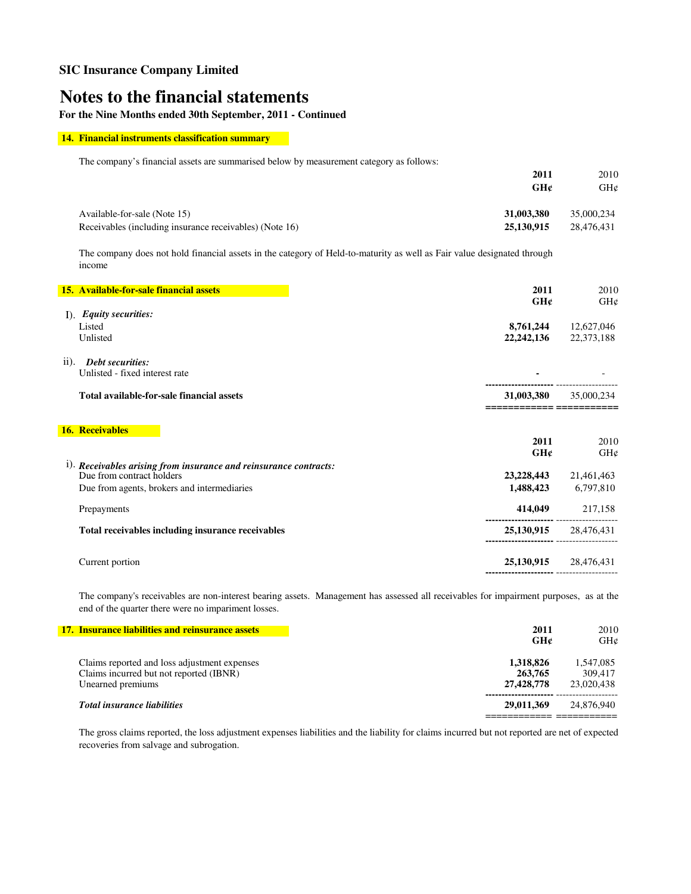**For the Nine Months ended 30th September, 2011 - Continued**

#### **14. Financial instruments classification summary**

The company's financial assets are summarised below by measurement category as follows:

|                                                         | 2011<br>GH¢ | 2010<br>GH¢ |
|---------------------------------------------------------|-------------|-------------|
| Available-for-sale (Note 15)                            | 31,003,380  | 35,000,234  |
| Receivables (including insurance receivables) (Note 16) | 25,130,915  | 28.476.431  |
|                                                         |             |             |

The company does not hold financial assets in the category of Held-to-maturity as well as Fair value designated through income

|                    | 15. Available-for-sale financial assets                           | 2011                              | 2010       |
|--------------------|-------------------------------------------------------------------|-----------------------------------|------------|
|                    | $I$ ). Equity securities:                                         | GH¢                               | GH¢        |
|                    | Listed                                                            | 8,761,244                         | 12,627,046 |
|                    | Unlisted                                                          | 22, 242, 136                      | 22,373,188 |
| $\overline{11}$ ). | <b>Debt securities:</b>                                           |                                   |            |
|                    | Unlisted - fixed interest rate                                    |                                   |            |
|                    | Total available-for-sale financial assets                         | 31,003,380<br>=========== ======= | 35,000,234 |
|                    | <b>16. Receivables</b>                                            |                                   |            |
|                    |                                                                   | 2011                              | 2010       |
|                    |                                                                   | GH¢                               | GH¢        |
|                    | i). Receivables arising from insurance and reinsurance contracts: |                                   |            |
|                    | Due from contract holders                                         | 23,228,443                        | 21,461,463 |
|                    | Due from agents, brokers and intermediaries                       | 1,488,423                         | 6,797,810  |
|                    | Prepayments                                                       | 414,049                           | 217,158    |
|                    | Total receivables including insurance receivables                 | 25,130,915                        | 28,476,431 |
|                    | Current portion                                                   | 25,130,915                        | 28,476,431 |
|                    |                                                                   |                                   |            |

The company's receivables are non-interest bearing assets. Management has assessed all receivables for impairment purposes, as at the end of the quarter there were no impariment losses.

| 2011       | 2010       |
|------------|------------|
| GH¢        | GHC        |
| 1,318,826  | 1,547,085  |
| 263,765    | 309.417    |
| 27,428,778 | 23,020,438 |
| 29,011,369 | 24,876,940 |
|            |            |

The gross claims reported, the loss adjustment expenses liabilities and the liability for claims incurred but not reported are net of expected recoveries from salvage and subrogation.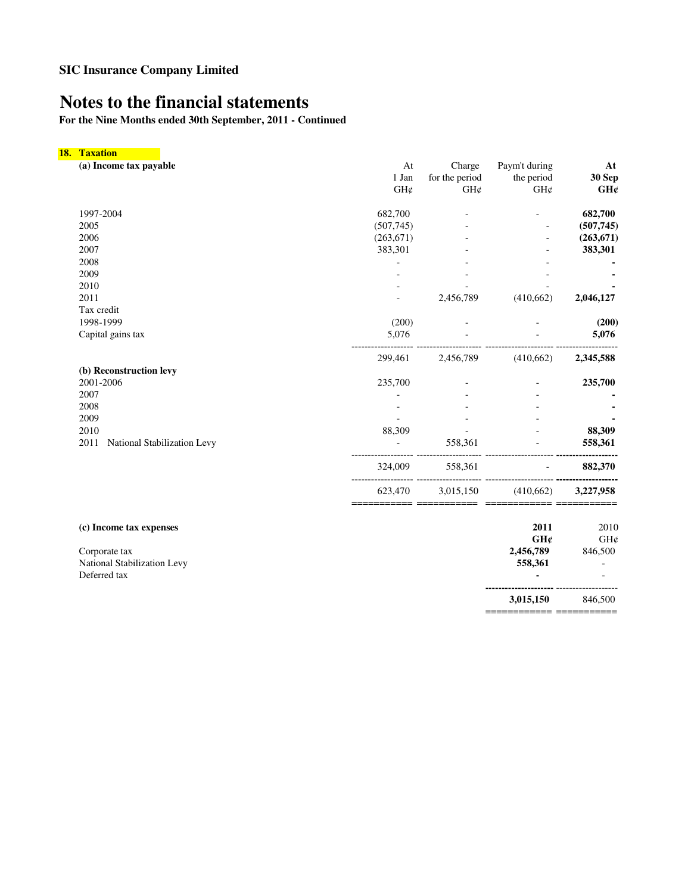# **Notes to the financial statements**

**For the Nine Months ended 30th September, 2011 - Continued**

| 18. Taxation                     |            |                |                          |            |
|----------------------------------|------------|----------------|--------------------------|------------|
| (a) Income tax payable           | At         | Charge         | Paym't during            | At         |
|                                  | 1 Jan      | for the period | the period               | 30 Sep     |
|                                  | GH¢        | GH¢            | GH¢                      | GH¢        |
| 1997-2004                        | 682,700    |                |                          | 682,700    |
| 2005                             | (507,745)  |                | $\overline{\phantom{a}}$ | (507, 745) |
| 2006                             | (263, 671) |                | $\blacksquare$           | (263, 671) |
| 2007                             | 383,301    |                | $\blacksquare$           | 383,301    |
| 2008                             |            |                |                          |            |
| 2009                             |            |                |                          |            |
| 2010                             |            |                |                          |            |
| 2011                             |            | 2,456,789      | (410,662)                | 2,046,127  |
| Tax credit                       |            |                |                          |            |
| 1998-1999                        | (200)      |                |                          | (200)      |
| Capital gains tax                | 5,076      |                |                          | 5,076      |
|                                  | 299,461    | 2,456,789      | (410,662)                | 2,345,588  |
| (b) Reconstruction levy          |            |                |                          |            |
| 2001-2006                        | 235,700    |                |                          | 235,700    |
| 2007                             |            |                |                          |            |
| 2008                             |            |                |                          |            |
| 2009                             |            |                |                          |            |
| 2010                             | 88,309     |                |                          | 88,309     |
| 2011 National Stabilization Levy |            | 558,361        |                          | 558,361    |
|                                  | 324,009    | 558,361        | $\sim$                   | 882,370    |
|                                  | 623,470    |                | 3,015,150 (410,662)      | 3,227,958  |
| (c) Income tax expenses          |            |                | 2011                     | 2010       |
|                                  |            |                | GH¢                      | GH¢        |
| Corporate tax                    |            |                | 2,456,789                | 846,500    |
| National Stabilization Levy      |            |                | 558,361                  |            |
| Deferred tax                     |            |                |                          |            |
|                                  |            |                |                          |            |

 **3,015,150** 846,500 ============ ===========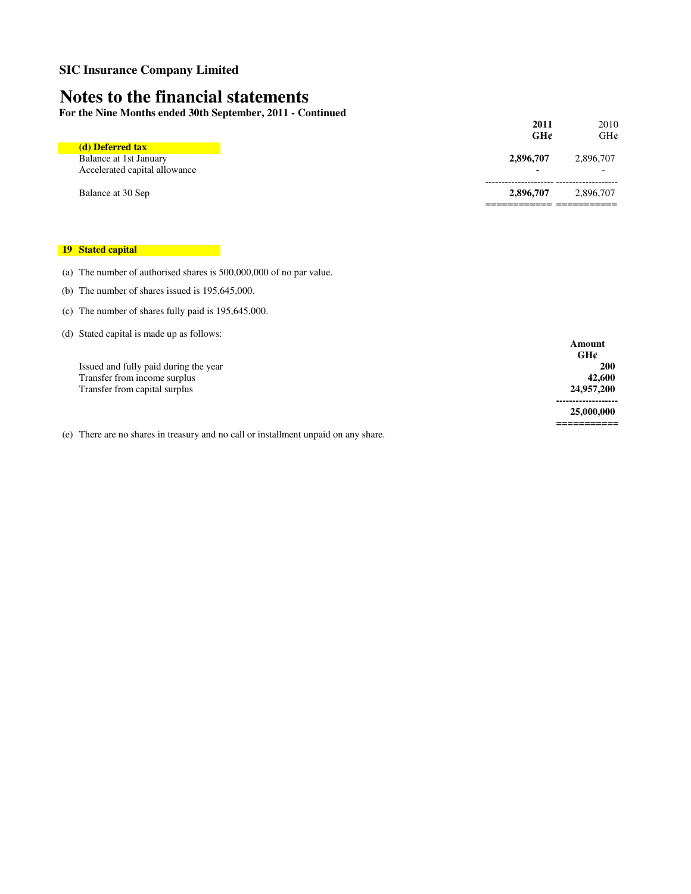## **Notes to the financial statements**

**For the Nine Months ended 30th September, 2011 - Continued**

|                                                                             | 2011<br>GH¢    | 2010<br>GHC                           |
|-----------------------------------------------------------------------------|----------------|---------------------------------------|
| (d) Deferred tax<br>Balance at 1st January<br>Accelerated capital allowance | 2,896,707<br>٠ | 2,896,707<br>$\overline{\phantom{0}}$ |
| Balance at 30 Sep                                                           | 2,896,707      | 2,896,707                             |

#### **19 Stated capital**

(a) The number of authorised shares is 500,000,000 of no par value.

- (b) The number of shares issued is 195,645,000.
- (c) The number of shares fully paid is 195,645,000.
- (d) Stated capital is made up as follows:

|                                       | Amount<br>GH¢ |
|---------------------------------------|---------------|
| Issued and fully paid during the year | <b>200</b>    |
| Transfer from income surplus          | 42,600        |
| Transfer from capital surplus         | 24,957,200    |
|                                       | 25,000,000    |
|                                       |               |

(e) There are no shares in treasury and no call or installment unpaid on any share.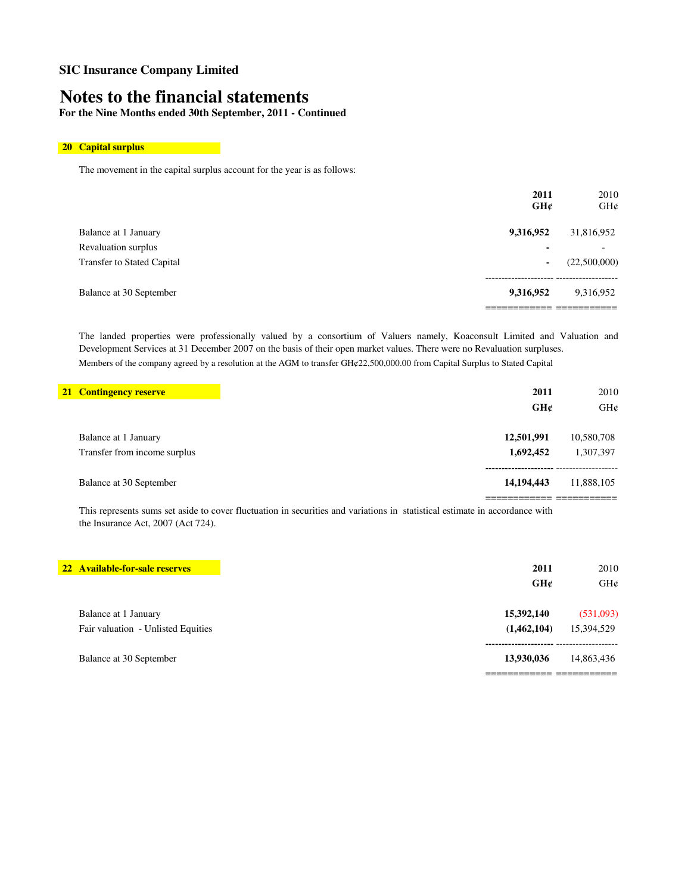## **Notes to the financial statements**

**For the Nine Months ended 30th September, 2011 - Continued**

#### **20 Capital surplus**

The movement in the capital surplus account for the year is as follows:

|                                   | 2011<br>GH¢ | 2010<br>GHC              |
|-----------------------------------|-------------|--------------------------|
| Balance at 1 January              | 9,316,952   | 31,816,952               |
| Revaluation surplus               | ۰           | $\overline{\phantom{a}}$ |
| <b>Transfer to Stated Capital</b> | ٠           | (22,500,000)             |
| Balance at 30 September           | 9,316,952   | 9,316,952                |
|                                   |             |                          |

Members of the company agreed by a resolution at the AGM to transfer GH¢22,500,000.00 from Capital Surplus to Stated Capital The landed properties were professionally valued by a consortium of Valuers namely, Koaconsult Limited and Valuation and Development Services at 31 December 2007 on the basis of their open market values. There were no Revaluation surpluses.

| <b>21 Contingency reserve</b> | 2011       |
|-------------------------------|------------|
|                               | GHC        |
| Balance at 1 January          | 12,501,991 |
| Transfer from income surplus  | 1,692,452  |

============ ===========

This represents sums set aside to cover fluctuation in securities and variations in statistical estimate in accordance with the Insurance Act, 2007 (Act 724).

| 22 Available-for-sale reserves     | 2011        |            |
|------------------------------------|-------------|------------|
|                                    | GH¢         |            |
| Balance at 1 January               | 15,392,140  | (531,093)  |
| Fair valuation - Unlisted Equities | (1,462,104) | 15.394.529 |
| Balance at 30 September            | 13,930,036  | 14,863,436 |
|                                    |             |            |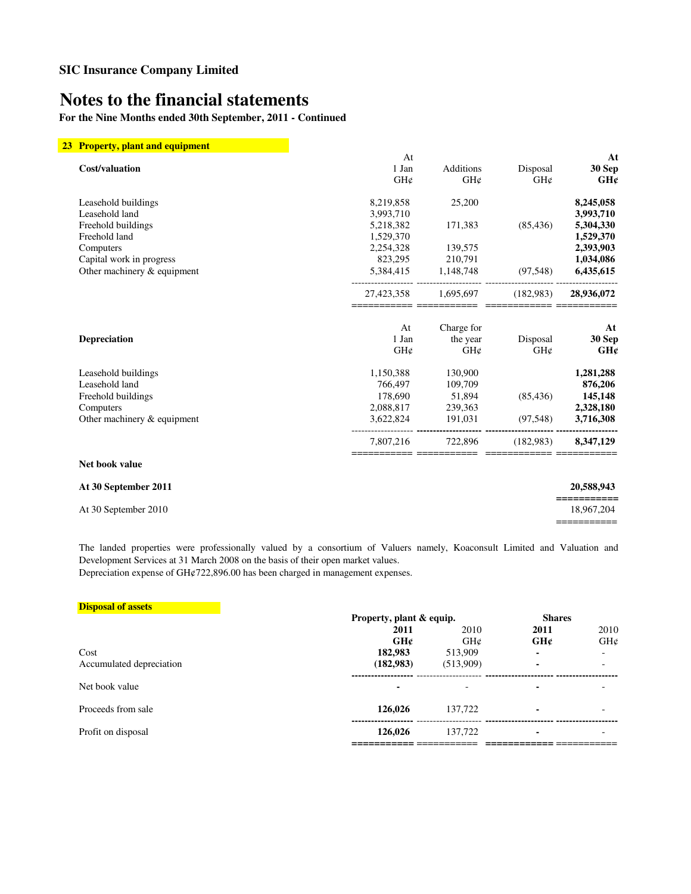**For the Nine Months ended 30th September, 2011 - Continued**

| 23 Property, plant and equipment |                     |                                |           |                          |
|----------------------------------|---------------------|--------------------------------|-----------|--------------------------|
|                                  | At                  |                                |           | At                       |
| <b>Cost/valuation</b>            | 1 Jan               | Additions                      | Disposal  | 30 Sep                   |
|                                  | GH¢                 | $GH\mathcal{C}$                | GH¢       | GH¢                      |
| Leasehold buildings              | 8,219,858           | 25,200                         |           | 8,245,058                |
| Leasehold land                   | 3,993,710           |                                |           | 3,993,710                |
| Freehold buildings               | 5,218,382           | 171,383                        | (85, 436) | 5,304,330                |
| Freehold land                    | 1,529,370           |                                |           | 1,529,370                |
| Computers                        | 2,254,328           | 139,575                        |           | 2,393,903                |
| Capital work in progress         |                     | 823,295 210,791                |           | 1,034,086                |
| Other machinery & equipment      | 5,384,415 1,148,748 |                                | (97,548)  | 6,435,615                |
|                                  |                     | 27,423,358 1,695,697 (182,983) |           | 28,936,072               |
|                                  | At                  | Charge for                     |           | At                       |
| <b>Depreciation</b>              | 1 Jan               | the year                       | Disposal  | <b>30 Sep</b>            |
|                                  | GH¢                 | GHC                            | GHC       | GH¢                      |
| Leasehold buildings              | 1,150,388           | 130,900                        |           | 1,281,288                |
| Leasehold land                   | 766,497             | 109,709                        |           | 876,206                  |
| Freehold buildings               | 178,690             | 51,894                         | (85, 436) | 145,148                  |
| Computers                        | 2,088,817           | 239,363                        |           | 2,328,180                |
| Other machinery $&$ equipment    | 3,622,824 191,031   |                                | (97,548)  | 3,716,308                |
|                                  | 7,807,216           | 722,896                        | (182,983) | 8.347.129                |
| Net book value                   |                     |                                |           |                          |
| At 30 September 2011             |                     |                                |           | 20,588,943               |
| At 30 September 2010             |                     |                                |           | ==========<br>18,967,204 |

===========

The landed properties were professionally valued by a consortium of Valuers namely, Koaconsult Limited and Valuation and Development Services at 31 March 2008 on the basis of their open market values. Depreciation expense of GH¢722,896.00 has been charged in management expenses.

| <b>Disposal of assets</b> |                          |           |               |                          |
|---------------------------|--------------------------|-----------|---------------|--------------------------|
|                           | Property, plant & equip. |           | <b>Shares</b> |                          |
|                           | 2011                     | 2010      | 2011          | 2010                     |
|                           | GH¢                      | GHz       | GH¢           | $GH\mathcal{C}$          |
| Cost                      | 182,983                  | 513,909   |               | $\overline{\phantom{a}}$ |
| Accumulated depreciation  | (182,983)                | (513,909) | ۰             | $\overline{\phantom{0}}$ |
| Net book value            |                          |           | ۰             | -                        |
| Proceeds from sale        | 126,026                  | 137.722   | ۰             | $\overline{\phantom{0}}$ |
| Profit on disposal        | 126,026                  | 137.722   | ۰             | $\overline{\phantom{0}}$ |
|                           |                          |           |               |                          |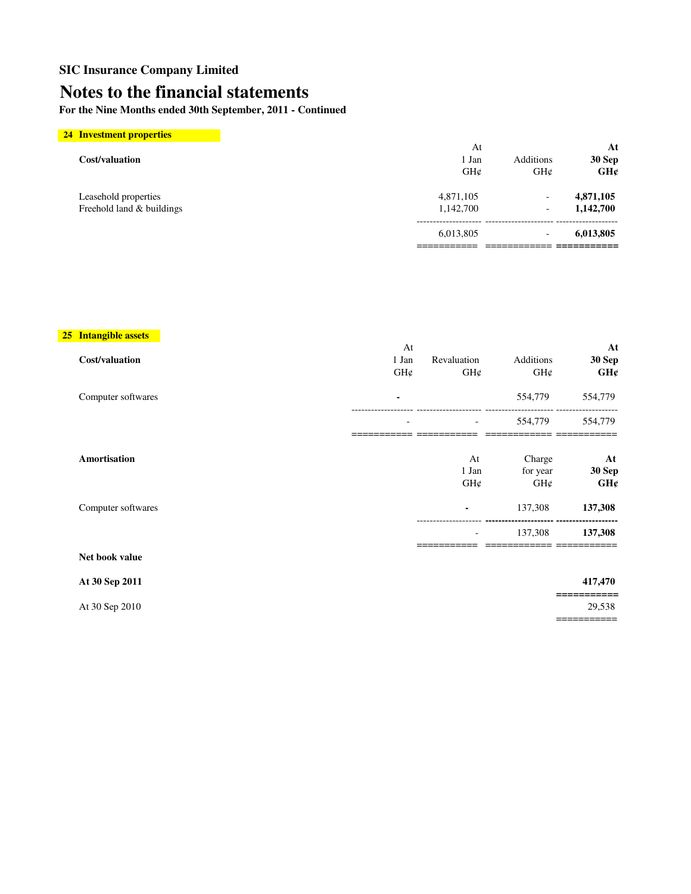## **Notes to the financial statements**

**For the Nine Months ended 30th September, 2011 - Continued**

| At              |                          |
|-----------------|--------------------------|
| 1 Jan           | Additions                |
| $GH\mathcal{C}$ | $GH\mathcal{C}$          |
| 4,871,105       | $\overline{\phantom{a}}$ |
| 1,142,700       | $\overline{\phantom{a}}$ |
| 6,013,805       | $\overline{\phantom{0}}$ |
|                 |                          |

### **25 Intangible assets**

|                     | At    |                |                                         | At            |
|---------------------|-------|----------------|-----------------------------------------|---------------|
| Cost/valuation      | 1 Jan | Revaluation    | Additions                               | 30 Sep        |
|                     | GH¢   | GH¢            | GH¢                                     | GH¢           |
| Computer softwares  | ۰     |                | 554,779                                 | 554,779       |
|                     | ٠     |                | 554,779                                 | 554,779       |
| <b>Amortisation</b> |       | At             | Charge                                  | At            |
|                     |       | 1 Jan          | for year                                | <b>30 Sep</b> |
|                     |       | GH¢            | $GH\mathcal{C}$                         | GH¢           |
| Computer softwares  |       | $\blacksquare$ | 137,308                                 | 137,308       |
|                     |       |                | ------------- --------------<br>137,308 | 137,308       |
| Net book value      |       |                |                                         |               |
| At 30 Sep 2011      |       |                |                                         | 417,470       |

|                | ___________<br>___________     |
|----------------|--------------------------------|
| At 30 Sep 2010 | 29,538                         |
|                | ______________<br>____________ |
|                |                                |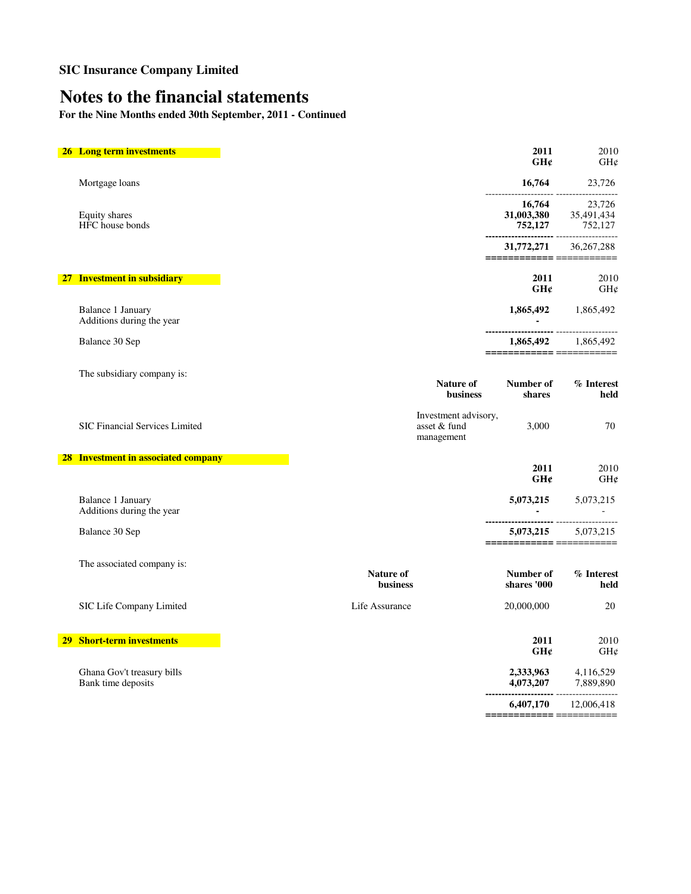# **Notes to the financial statements**

**For the Nine Months ended 30th September, 2011 - Continued**

| <b>26 Long term investments</b>                                                             | 2011<br>GH¢                                                                                                                                                   | 2010<br>$\mathrm{GH}\varphi$                             |
|---------------------------------------------------------------------------------------------|---------------------------------------------------------------------------------------------------------------------------------------------------------------|----------------------------------------------------------|
| Mortgage loans                                                                              | 16,764                                                                                                                                                        | 23,726                                                   |
| Equity shares<br>HFC house bonds                                                            | $\begin{array}{ccc} \bf 16{,}764 & \phantom{0}23{,}726 \\ \bf 31{,}003{,}380 & \phantom{0}35{,}491{,}434 \\ \bf 752{,}127 & \phantom{0}752{,}127 \end{array}$ |                                                          |
|                                                                                             | 31,772,271 36,267,288<br>============ ===========                                                                                                             |                                                          |
| 27 Investment in subsidiary                                                                 | 2011<br>$GH\mathfrak{C}$                                                                                                                                      | 2010<br>GH¢                                              |
| <b>Balance 1 January</b><br>Additions during the year                                       |                                                                                                                                                               | 1,865,492 1,865,492                                      |
| Balance 30 Sep                                                                              | ---------------- --------------------<br>============ ===========                                                                                             | 1,865,492 1,865,492                                      |
| The subsidiary company is:<br>Nature of<br><b>business</b>                                  | Number of<br>shares                                                                                                                                           | % Interest<br>held                                       |
| Investment advisory,<br><b>SIC Financial Services Limited</b><br>asset & fund<br>management | 3,000                                                                                                                                                         | 70                                                       |
| <b>28 Investment in associated company</b>                                                  |                                                                                                                                                               |                                                          |
|                                                                                             | 2011<br>$GH\ell$                                                                                                                                              | 2010<br>GHC                                              |
| <b>Balance 1 January</b><br>Additions during the year                                       |                                                                                                                                                               | $5,073,215$ $5,073,215$                                  |
| Balance 30 Sep                                                                              | ============ ===========                                                                                                                                      | $5,073,215$ $5,073,215$                                  |
| The associated company is:<br><b>Nature of</b><br><b>business</b>                           | Number of<br>shares '000                                                                                                                                      | % Interest<br>held                                       |
| SIC Life Company Limited<br>Life Assurance                                                  | 20,000,000                                                                                                                                                    | 20                                                       |
| <b>Short-term investments</b><br>29                                                         | 2011<br>GH¢                                                                                                                                                   | 2010<br>GH¢                                              |
| Ghana Gov't treasury bills<br>Bank time deposits                                            |                                                                                                                                                               | <b>2,333,963</b> 4,116,529<br><b>4,073,207</b> 7,889,890 |
|                                                                                             | ------------------ -------------------<br>6,407,170<br>============ ===========                                                                               | 12,006,418                                               |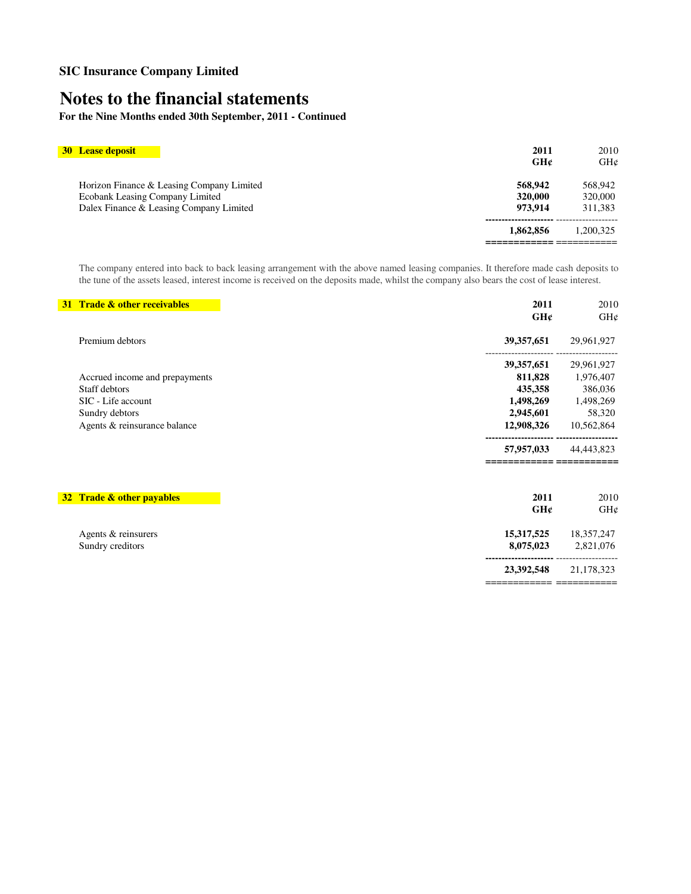**For the Nine Months ended 30th September, 2011 - Continued**

| <b>30 Lease deposit</b>                                                                                                        | 2011<br>GH¢                   | 2010<br>GHC                   |
|--------------------------------------------------------------------------------------------------------------------------------|-------------------------------|-------------------------------|
| Horizon Finance & Leasing Company Limited<br><b>Ecobank Leasing Company Limited</b><br>Dalex Finance & Leasing Company Limited | 568,942<br>320,000<br>973.914 | 568,942<br>320,000<br>311.383 |
|                                                                                                                                | 1.862,856                     | 1.200.325                     |

The company entered into back to back leasing arrangement with the above named leasing companies. It therefore made cash deposits to the tune of the assets leased, interest income is received on the deposits made, whilst the company also bears the cost of lease interest.

| 31 Trade & other receivables   | 2011                      | 2010       |
|--------------------------------|---------------------------|------------|
|                                | GH¢                       | GH¢        |
| Premium debtors                | 39,357,651                | 29,961,927 |
|                                | 39,357,651                | 29,961,927 |
| Accrued income and prepayments | 811,828                   | 1,976,407  |
| Staff debtors                  | 435,358                   | 386,036    |
| SIC - Life account             | 1,498,269                 | 1,498,269  |
| Sundry debtors                 | 2,945,601                 | 58,320     |
| Agents & reinsurance balance   | 12,908,326                | 10,562,864 |
|                                | 57,957,033                | 44,443,823 |
| 32 Trade & other payables      | 2011                      | 2010       |
|                                | GH¢                       | GH¢        |
| Agents & reinsurers            | 15,317,525                | 18,357,247 |
| Sundry creditors               | 8,075,023                 | 2,821,076  |
|                                | 23,392,548                | 21,178,323 |
|                                | ========================= |            |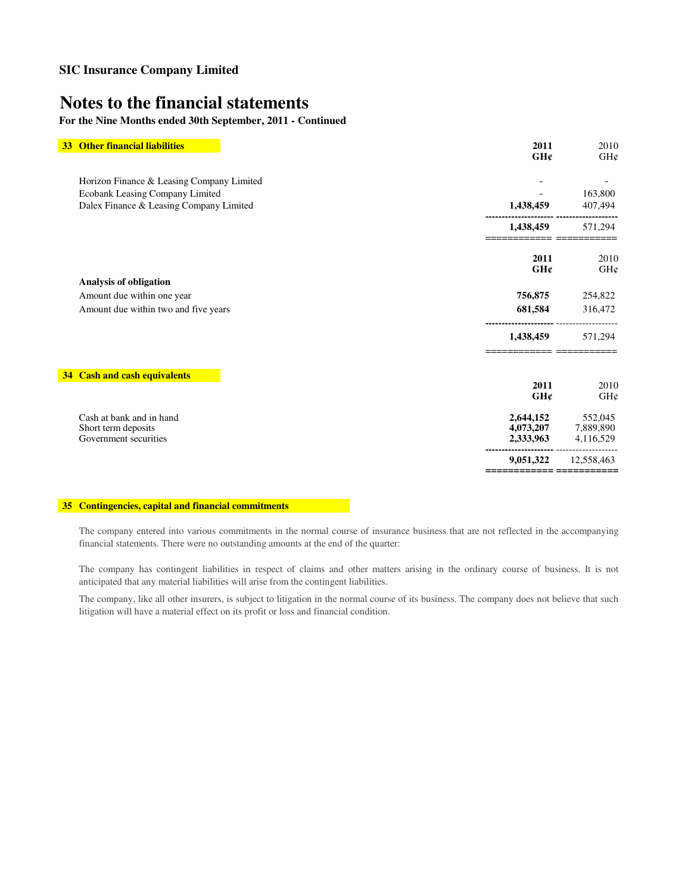**For the Nine Months ended 30th September, 2011 - Continued**

| <b>33 Other financial liabilities</b>        | 2011                      | 2010                   |
|----------------------------------------------|---------------------------|------------------------|
|                                              | GH¢                       | GH¢                    |
| Horizon Finance & Leasing Company Limited    |                           |                        |
| Ecobank Leasing Company Limited              |                           | 163,800                |
| Dalex Finance & Leasing Company Limited      | 1,438,459                 | 407,494                |
|                                              | 1,438,459                 | 571,294                |
|                                              | 2011                      | 2010                   |
| Analysis of obligation                       | GHC                       | GH¢                    |
| Amount due within one year                   | 756,875                   | 254,822                |
| Amount due within two and five years         | 681,584                   | 316,472                |
|                                              | 1,438,459                 | 571,294                |
| 34 Cash and cash equivalents                 |                           |                        |
|                                              | 2011<br>GH¢               | 2010<br>GH¢            |
| Cash at bank and in hand                     | 2,644,152                 | 552,045                |
| Short term deposits<br>Government securities | 4,073,207<br>2,333,963    | 7,889,890<br>4,116,529 |
|                                              | 9,051,322                 | 12,558,463             |
|                                              | ============= =========== |                        |

### **35 Contingencies, capital and financial commitments**

The company entered into various commitments in the normal course of insurance business that are not reflected in the accompanying financial statements. There were no outstanding amounts at the end of the quarter:

The company has contingent liabilities in respect of claims and other matters arising in the ordinary course of business. It is not anticipated that any material liabilities will arise from the contingent liabilities.

The company, like all other insurers, is subject to litigation in the normal course of its business. The company does not believe that such litigation will have a material effect on its profit or loss and financial condition.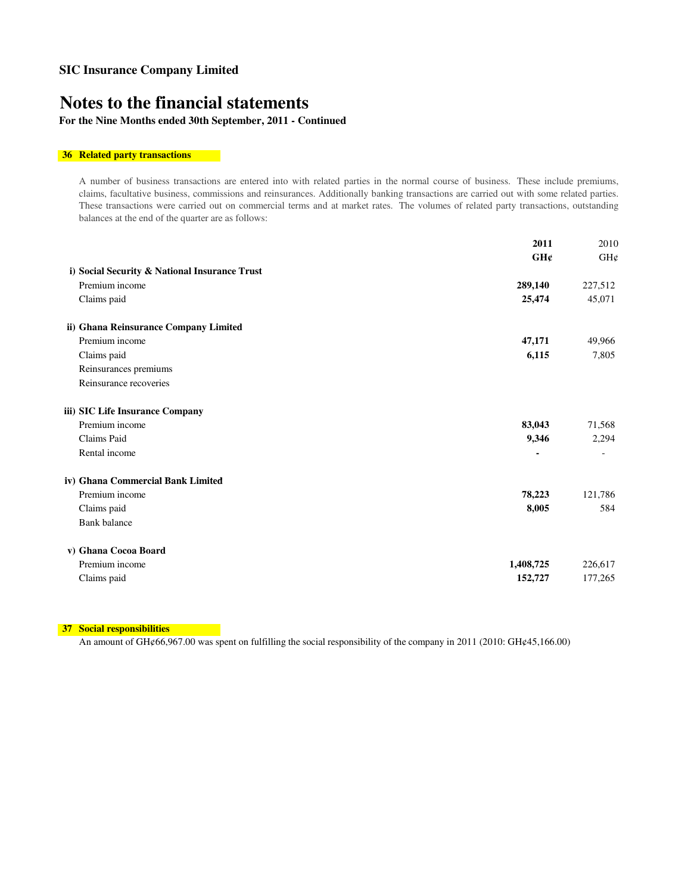**For the Nine Months ended 30th September, 2011 - Continued**

### **36 Related party transactions**

A number of business transactions are entered into with related parties in the normal course of business. These include premiums, claims, facultative business, commissions and reinsurances. Additionally banking transactions are carried out with some related parties. These transactions were carried out on commercial terms and at market rates. The volumes of related party transactions, outstanding balances at the end of the quarter are as follows:

|                                               | 2011      | 2010    |
|-----------------------------------------------|-----------|---------|
|                                               | GH¢       | GH¢     |
| i) Social Security & National Insurance Trust |           |         |
| Premium income                                | 289,140   | 227,512 |
| Claims paid                                   | 25,474    | 45,071  |
| ii) Ghana Reinsurance Company Limited         |           |         |
| Premium income                                | 47,171    | 49,966  |
| Claims paid                                   | 6,115     | 7,805   |
| Reinsurances premiums                         |           |         |
| Reinsurance recoveries                        |           |         |
| iii) SIC Life Insurance Company               |           |         |
| Premium income                                | 83,043    | 71,568  |
| Claims Paid                                   | 9,346     | 2,294   |
| Rental income                                 |           |         |
| iv) Ghana Commercial Bank Limited             |           |         |
| Premium income                                | 78,223    | 121,786 |
| Claims paid                                   | 8,005     | 584     |
| <b>Bank</b> balance                           |           |         |
| v) Ghana Cocoa Board                          |           |         |
| Premium income                                | 1,408,725 | 226,617 |
| Claims paid                                   | 152,727   | 177,265 |

**37 Social responsibilities**

An amount of GH¢66,967.00 was spent on fulfilling the social responsibility of the company in 2011 (2010: GH¢45,166.00)